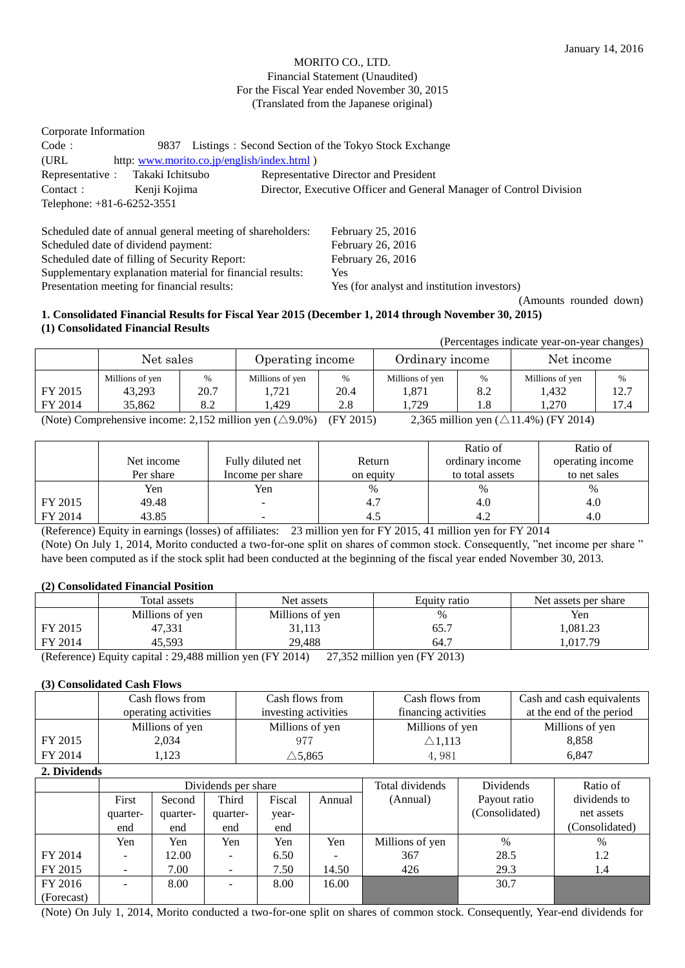#### MORITO CO., LTD. Financial Statement (Unaudited) For the Fiscal Year ended November 30, 2015 (Translated from the Japanese original)

| Corporate Information      |                  |                                                                     |
|----------------------------|------------------|---------------------------------------------------------------------|
| Code:                      | 9837             | Listings: Second Section of the Tokyo Stock Exchange                |
| (URL)                      |                  | http: www.morito.co.jp/english/index.html)                          |
| Representative :           | Takaki Ichitsubo | Representative Director and President                               |
| Contact :                  | Kenji Kojima     | Director, Executive Officer and General Manager of Control Division |
| Telephone: +81-6-6252-3551 |                  |                                                                     |

Scheduled date of annual general meeting of shareholders: February 25, 2016 Scheduled date of dividend payment: February 26, 2016 Scheduled date of filling of Security Report: February 26, 2016 Supplementary explanation material for financial results: Yes Presentation meeting for financial results: Yes (for analyst and institution investors)

(Amounts rounded down)

### **1. Consolidated Financial Results for Fiscal Year 2015 (December 1, 2014 through November 30, 2015) (1) Consolidated Financial Results**

(Percentages indicate year-on-year changes)

|         | Net sales                 |              | Operating income         |           | Ordinary income          |                      | Net income               |              |
|---------|---------------------------|--------------|--------------------------|-----------|--------------------------|----------------------|--------------------------|--------------|
| FY 2015 | Millions of yen<br>43,293 | $\%$<br>20.7 | Millions of yen<br>1,721 | %<br>20.4 | Millions of yen<br>1,871 | $\frac{0}{0}$<br>8.2 | Millions of yen<br>1.432 | $\%$<br>12.7 |
| FY 2014 | 35.862                    | 8.2          | .429                     | 2.8       | . 729                    | 1.8                  | .270                     | 17.4         |

(Note) Comprehensive income: 2,152 million yen  $(\triangle 9.0\%)$  (FY 2015) 2,365 million yen  $(\triangle 11.4\%)$  (FY 2014)

|         |            |                          |           | Ratio of        | Ratio of         |
|---------|------------|--------------------------|-----------|-----------------|------------------|
|         | Net income | Fully diluted net        | Return    | ordinary income | operating income |
|         | Per share  | Income per share         | on equity | to total assets | to net sales     |
|         | Yen        | Yen                      | $\%$      | %               | $\%$             |
| FY 2015 | 49.48      | $\overline{\phantom{a}}$ | 4.7       | 4.0             | 4.0              |
| FY 2014 | 43.85      | -                        | 4.1       | 4.2             | 4.0              |

(Reference) Equity in earnings (losses) of affiliates: 23 million yen for FY 2015, 41 million yen for FY 2014 (Note) On July 1, 2014, Morito conducted a two-for-one split on shares of common stock. Consequently, "net income per share " have been computed as if the stock split had been conducted at the beginning of the fiscal year ended November 30, 2013.

### **(2) Consolidated Financial Position**

|               | Total assets                     | Net assets      | Equity ratio | Net assets per share |
|---------------|----------------------------------|-----------------|--------------|----------------------|
|               | Millions of yen                  | Millions of yen | $\%$         | Yen                  |
| FY 2015       | 47,331                           | 31,113          | 65.7         | ,081.23              |
| FY 2014       | 45.593                           | 29.488          | 64.7         | .017.79              |
| $\sim$ $\sim$ | $\cdots$ $\cdots$ $\cdots$<br>-- | $\cdots$        |              |                      |

(Reference) Equity capital : 29,488 million yen (FY 2014) 27,352 million yen (FY 2013)

### **(3) Consolidated Cash Flows**

|         | Cash flows from      | Cash flows from      | Cash flows from      | Cash and cash equivalents |
|---------|----------------------|----------------------|----------------------|---------------------------|
|         | operating activities | investing activities | financing activities | at the end of the period  |
|         | Millions of yen      | Millions of yen      | Millions of yen      | Millions of yen           |
| FY 2015 | 2.034                | 977                  | $\triangle 1.113$    | 8,858                     |
| FY 2014 | .123                 | $\triangle$ 5,865    | 4,981                | 6.847                     |

#### **2. Dividends**

|            | Dividends per share |          |          |        |                          | Total dividends | Dividends      | Ratio of       |
|------------|---------------------|----------|----------|--------|--------------------------|-----------------|----------------|----------------|
|            | First               | Second   | Third    | Fiscal | Annual                   | (Annual)        | Payout ratio   | dividends to   |
|            | quarter-            | quarter- | quarter- | year-  |                          |                 | (Consolidated) | net assets     |
|            | end                 | end      | end      | end    |                          |                 |                | (Consolidated) |
|            | Yen                 | Yen      | Yen      | Yen    | Yen                      | Millions of yen | $\%$           | $\%$           |
| FY 2014    |                     | 12.00    | $\sim$   | 6.50   | $\overline{\phantom{a}}$ | 367             | 28.5           | 1.2            |
| FY 2015    |                     | 7.00     |          | 7.50   | 14.50                    | 426             | 29.3           | 1.4            |
| FY 2016    |                     | 8.00     |          | 8.00   | 16.00                    |                 | 30.7           |                |
| (Forecast) |                     |          |          |        |                          |                 |                |                |

(Note) On July 1, 2014, Morito conducted a two-for-one split on shares of common stock. Consequently, Year-end dividends for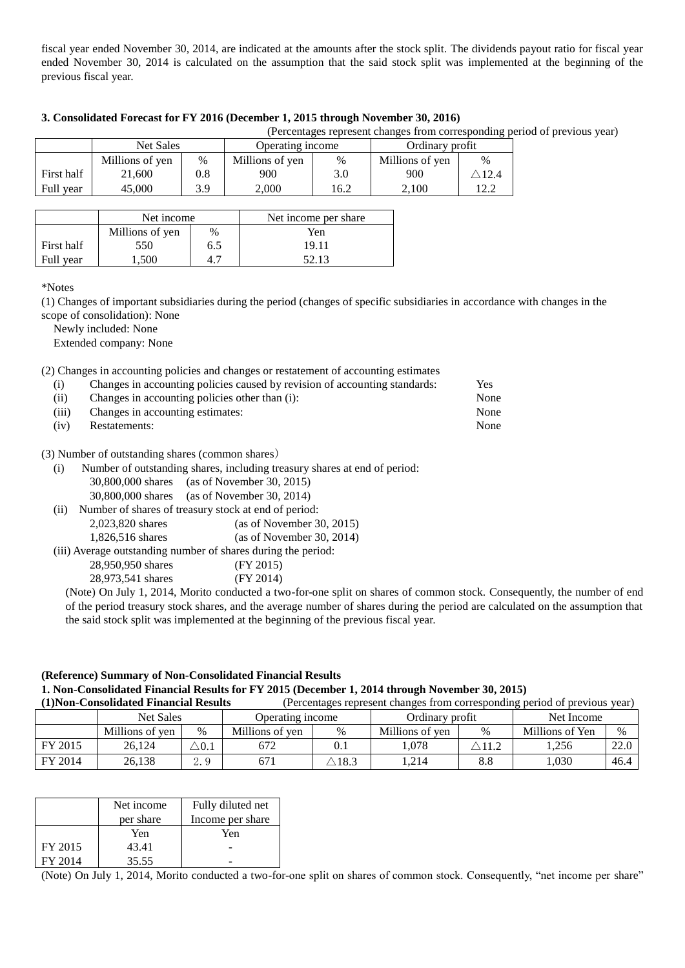fiscal year ended November 30, 2014, are indicated at the amounts after the stock split. The dividends payout ratio for fiscal year ended November 30, 2014 is calculated on the assumption that the said stock split was implemented at the beginning of the previous fiscal year.

|            |                  |         |                  |      |                 |                  | (Percentages represent changes from corresponding period of previous year) |
|------------|------------------|---------|------------------|------|-----------------|------------------|----------------------------------------------------------------------------|
|            | <b>Net Sales</b> |         | Operating income |      | Ordinary profit |                  |                                                                            |
|            | Millions of yen  | $\%$    | Millions of yen  | $\%$ | Millions of yen | $\%$             |                                                                            |
| First half | 21,600           | $0.8\,$ | 900              | 3.0  | 900             | $\triangle$ 12.4 |                                                                            |
| Full year  | 45,000           | 3.9     | 2.000            | 16.2 | 2.100           | 12.2             |                                                                            |

#### **3. Consolidated Forecast for FY 2016 (December 1, 2015 through November 30, 2016)**

|            | Net income      |     | Net income per share |  |  |
|------------|-----------------|-----|----------------------|--|--|
|            | Millions of yen | %   | Yen                  |  |  |
| First half | 550             | 6.5 | 19.11                |  |  |
| Full year  | 1.500           | 4.7 | 52.13                |  |  |

\*Notes

(1) Changes of important subsidiaries during the period (changes of specific subsidiaries in accordance with changes in the scope of consolidation): None

Newly included: None

Extended company: None

(2) Changes in accounting policies and changes or restatement of accounting estimates

| Changes in accounting policies caused by revision of accounting standards: | Yes  |
|----------------------------------------------------------------------------|------|
| Changes in accounting policies other than (i):                             | None |
| Changes in accounting estimates:                                           | None |
| Restatements:                                                              | None |
|                                                                            |      |

(3) Number of outstanding shares (common shares)

| Number of outstanding shares, including treasury shares at end of period:<br>(i) |  |
|----------------------------------------------------------------------------------|--|
|----------------------------------------------------------------------------------|--|

- 30,800,000 shares (as of November 30, 2015)
- 30,800,000 shares (as of November 30, 2014)
- (ii) Number of shares of treasury stock at end of period:
	- 2,023,820 shares (as of November 30, 2015)
	- 1,826,516 shares (as of November 30, 2014)

(iii) Average outstanding number of shares during the period:

| 28,950,950 shares | (FY 2015) |
|-------------------|-----------|
| 28,973,541 shares | (FY 2014) |

(Note) On July 1, 2014, Morito conducted a two-for-one split on shares of common stock. Consequently, the number of end of the period treasury stock shares, and the average number of shares during the period are calculated on the assumption that the said stock split was implemented at the beginning of the previous fiscal year.

# **(Reference) Summary of Non-Consolidated Financial Results 1. Non-Consolidated Financial Results for FY 2015 (December 1, 2014 through November 30, 2015)**

|         | (1) Non-Consolidated Financial Results |                |                  |      |                 |                  | (Percentages represent changes from corresponding period of previous year) |      |
|---------|----------------------------------------|----------------|------------------|------|-----------------|------------------|----------------------------------------------------------------------------|------|
|         | <b>Net Sales</b>                       |                | Operating income |      | Ordinary profit |                  | Net Income                                                                 |      |
|         | Millions of yen                        | $\%$           | Millions of yen  | $\%$ | Millions of yen | $\%$             | Millions of Yen                                                            | $\%$ |
| FY 2015 | 26.124                                 | $\searrow$ 0.1 | 672              |      | . 078           | $\triangle 11.2$ | 1.256                                                                      | 22.0 |
| FY 2014 | 26,138                                 | 2.9            | 671              | 18.3 | .214            | $8.8\,$          | .030                                                                       | 46.4 |

|         | Net income | Fully diluted net |
|---------|------------|-------------------|
|         | per share  | Income per share  |
|         | Yen        | Yen               |
| FY 2015 | 43.41      |                   |
| FY 2014 | 35.55      |                   |

(Note) On July 1, 2014, Morito conducted a two-for-one split on shares of common stock. Consequently, "net income per share"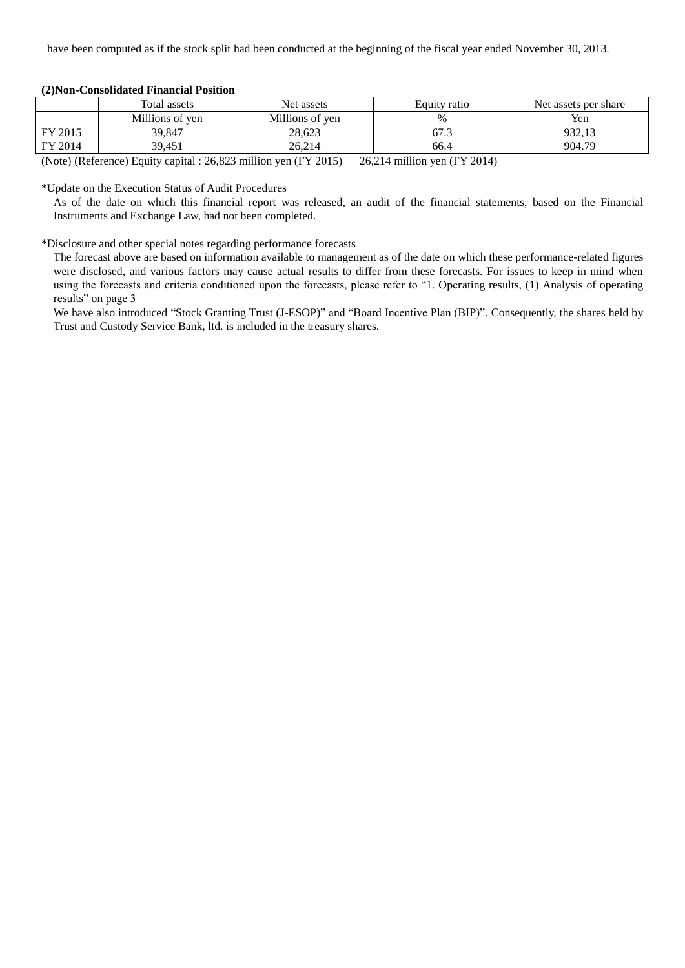|         | Total assets    | Net assets      | Equity ratio | Net assets per share |
|---------|-----------------|-----------------|--------------|----------------------|
|         | Millions of yen | Millions of yen | %            | Yen                  |
| FY 2015 | 39,847          | 28,623          | 67.3         | 932,13               |
| FY 2014 | 39,451          | 26.214          | 66.4         | 904.79               |

#### **(2)Non-Consolidated Financial Position**

(Note) (Reference) Equity capital : 26,823 million yen (FY 2015) 26,214 million yen (FY 2014)

\*Update on the Execution Status of Audit Procedures

As of the date on which this financial report was released, an audit of the financial statements, based on the Financial Instruments and Exchange Law, had not been completed.

#### \*Disclosure and other special notes regarding performance forecasts

The forecast above are based on information available to management as of the date on which these performance-related figures were disclosed, and various factors may cause actual results to differ from these forecasts. For issues to keep in mind when using the forecasts and criteria conditioned upon the forecasts, please refer to "1. Operating results, (1) Analysis of operating results" on page 3

We have also introduced "Stock Granting Trust (J-ESOP)" and "Board Incentive Plan (BIP)". Consequently, the shares held by Trust and Custody Service Bank, ltd. is included in the treasury shares.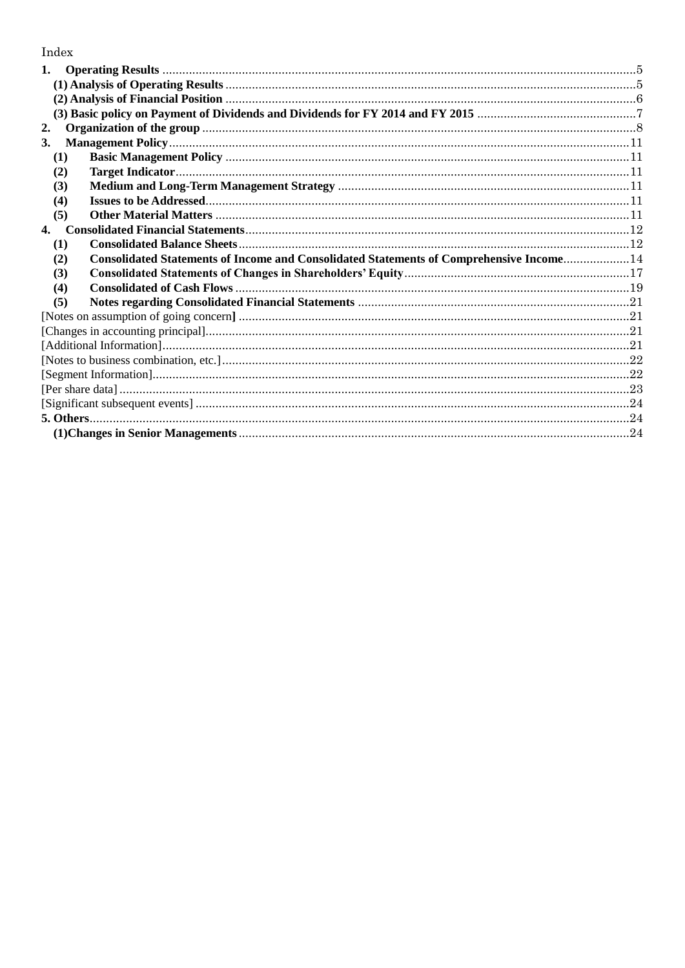# Index

| 1.  |                                                                                         |  |
|-----|-----------------------------------------------------------------------------------------|--|
|     |                                                                                         |  |
|     |                                                                                         |  |
|     |                                                                                         |  |
| 2.  |                                                                                         |  |
| 3.  |                                                                                         |  |
| (1) |                                                                                         |  |
| (2) |                                                                                         |  |
| (3) |                                                                                         |  |
| (4) |                                                                                         |  |
| (5) |                                                                                         |  |
| 4.  |                                                                                         |  |
| (1) |                                                                                         |  |
| (2) | Consolidated Statements of Income and Consolidated Statements of Comprehensive Income14 |  |
| (3) |                                                                                         |  |
| (4) |                                                                                         |  |
| (5) |                                                                                         |  |
|     |                                                                                         |  |
|     |                                                                                         |  |
|     |                                                                                         |  |
|     |                                                                                         |  |
|     |                                                                                         |  |
|     |                                                                                         |  |
|     |                                                                                         |  |
|     |                                                                                         |  |
|     |                                                                                         |  |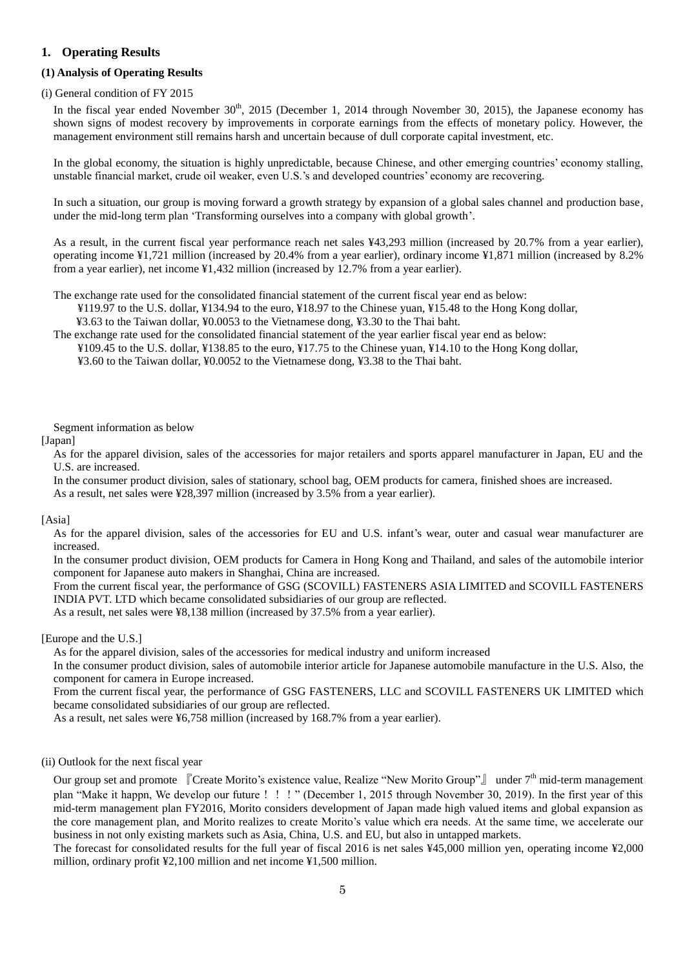### <span id="page-4-0"></span>**1. Operating Results**

#### <span id="page-4-1"></span>**(1) Analysis of Operating Results**

#### (i) General condition of FY 2015

In the fiscal year ended November  $30<sup>th</sup>$ ,  $2015$  (December 1, 2014 through November 30, 2015), the Japanese economy has shown signs of modest recovery by improvements in corporate earnings from the effects of monetary policy. However, the management environment still remains harsh and uncertain because of dull corporate capital investment, etc.

In the global economy, the situation is highly unpredictable, because Chinese, and other emerging countries' economy stalling, unstable financial market, crude oil weaker, even U.S.'s and developed countries' economy are recovering.

In such a situation, our group is moving forward a growth strategy by expansion of a global sales channel and production base, under the mid-long term plan 'Transforming ourselves into a company with global growth'.

As a result, in the current fiscal year performance reach net sales ¥43,293 million (increased by 20.7% from a year earlier), operating income ¥1,721 million (increased by 20.4% from a year earlier), ordinary income ¥1,871 million (increased by 8.2% from a year earlier), net income ¥1,432 million (increased by 12.7% from a year earlier).

The exchange rate used for the consolidated financial statement of the current fiscal year end as below:

¥119.97 to the U.S. dollar, ¥134.94 to the euro, ¥18.97 to the Chinese yuan, ¥15.48 to the Hong Kong dollar,

¥3.63 to the Taiwan dollar, ¥0.0053 to the Vietnamese dong, ¥3.30 to the Thai baht.

The exchange rate used for the consolidated financial statement of the year earlier fiscal year end as below: ¥109.45 to the U.S. dollar, ¥138.85 to the euro, ¥17.75 to the Chinese yuan, ¥14.10 to the Hong Kong dollar,

¥3.60 to the Taiwan dollar, ¥0.0052 to the Vietnamese dong, ¥3.38 to the Thai baht.

Segment information as below

#### [Japan]

As for the apparel division, sales of the accessories for major retailers and sports apparel manufacturer in Japan, EU and the U.S. are increased.

In the consumer product division, sales of stationary, school bag, OEM products for camera, finished shoes are increased.

As a result, net sales were ¥28,397 million (increased by 3.5% from a year earlier).

#### [Asia]

As for the apparel division, sales of the accessories for EU and U.S. infant's wear, outer and casual wear manufacturer are increased.

In the consumer product division, OEM products for Camera in Hong Kong and Thailand, and sales of the automobile interior component for Japanese auto makers in Shanghai, China are increased.

From the current fiscal year, the performance of GSG (SCOVILL) FASTENERS ASIA LIMITED and SCOVILL FASTENERS INDIA PVT. LTD which became consolidated subsidiaries of our group are reflected.

As a result, net sales were ¥8,138 million (increased by 37.5% from a year earlier).

#### [Europe and the U.S.]

As for the apparel division, sales of the accessories for medical industry and uniform increased

In the consumer product division, sales of automobile interior article for Japanese automobile manufacture in the U.S. Also, the component for camera in Europe increased.

From the current fiscal year, the performance of GSG FASTENERS, LLC and SCOVILL FASTENERS UK LIMITED which became consolidated subsidiaries of our group are reflected.

As a result, net sales were ¥6,758 million (increased by 168.7% from a year earlier).

#### (ii) Outlook for the next fiscal year

Our group set and promote 『Create Morito's existence value, Realize "New Morito Group"』 under 7<sup>th</sup> mid-term management plan "Make it happn, We develop our future!!!" (December 1, 2015 through November 30, 2019). In the first year of this mid-term management plan FY2016, Morito considers development of Japan made high valued items and global expansion as the core management plan, and Morito realizes to create Morito's value which era needs. At the same time, we accelerate our business in not only existing markets such as Asia, China, U.S. and EU, but also in untapped markets.

The forecast for consolidated results for the full year of fiscal 2016 is net sales ¥45,000 million yen, operating income ¥2,000 million, ordinary profit ¥2,100 million and net income ¥1,500 million.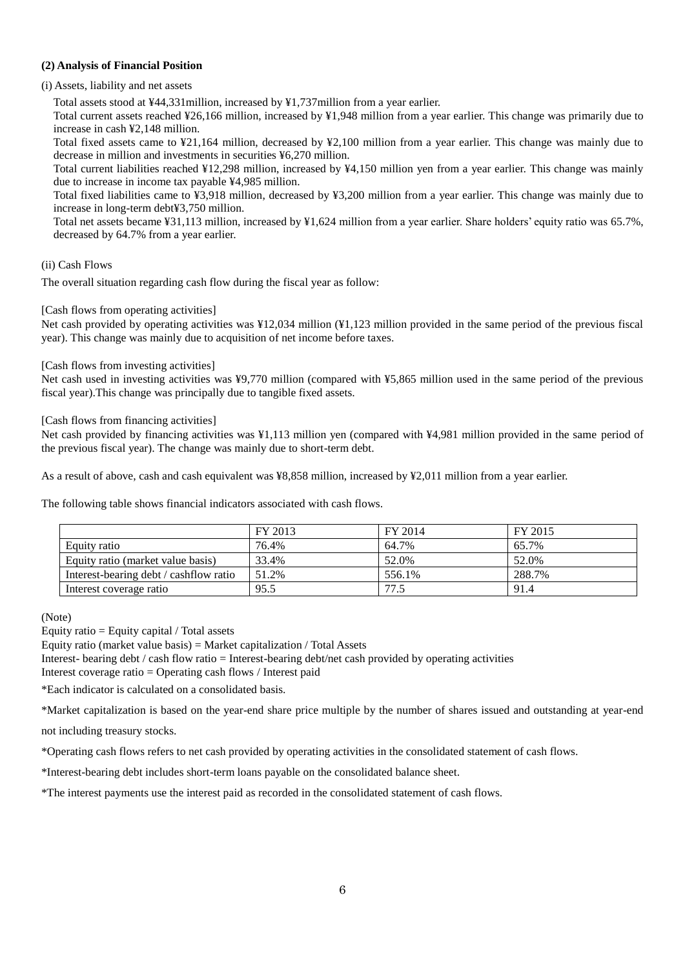### <span id="page-5-0"></span>**(2) Analysis of Financial Position**

(i) Assets, liability and net assets

Total assets stood at ¥44,331million, increased by ¥1,737million from a year earlier.

Total current assets reached ¥26,166 million, increased by ¥1,948 million from a year earlier. This change was primarily due to increase in cash ¥2,148 million.

Total fixed assets came to ¥21,164 million, decreased by ¥2,100 million from a year earlier. This change was mainly due to decrease in million and investments in securities ¥6,270 million.

Total current liabilities reached ¥12,298 million, increased by ¥4,150 million yen from a year earlier. This change was mainly due to increase in income tax payable ¥4,985 million.

Total fixed liabilities came to ¥3,918 million, decreased by ¥3,200 million from a year earlier. This change was mainly due to increase in long-term debt¥3,750 million.

Total net assets became ¥31,113 million, increased by ¥1,624 million from a year earlier. Share holders' equity ratio was 65.7%, decreased by 64.7% from a year earlier.

### (ii) Cash Flows

The overall situation regarding cash flow during the fiscal year as follow:

### [Cash flows from operating activities]

Net cash provided by operating activities was ¥12,034 million (¥1,123 million provided in the same period of the previous fiscal year). This change was mainly due to acquisition of net income before taxes.

### [Cash flows from investing activities]

Net cash used in investing activities was ¥9,770 million (compared with ¥5,865 million used in the same period of the previous fiscal year).This change was principally due to tangible fixed assets.

### [Cash flows from financing activities]

Net cash provided by financing activities was ¥1,113 million yen (compared with ¥4,981 million provided in the same period of the previous fiscal year). The change was mainly due to short-term debt.

As a result of above, cash and cash equivalent was ¥8,858 million, increased by ¥2,011 million from a year earlier.

The following table shows financial indicators associated with cash flows.

|                                        | FY 2013 | FY 2014 | FY 2015 |
|----------------------------------------|---------|---------|---------|
| Equity ratio                           | 76.4%   | 64.7%   | 65.7%   |
| Equity ratio (market value basis)      | 33.4%   | 52.0%   | 52.0%   |
| Interest-bearing debt / cashflow ratio | 51.2%   | 556.1%  | 288.7%  |
| Interest coverage ratio                | 95.5    | 77.5    | 91.4    |

#### (Note)

Equity ratio (market value basis) = Market capitalization / Total Assets

Interest- bearing debt / cash flow ratio = Interest-bearing debt/net cash provided by operating activities

Interest coverage ratio = Operating cash flows / Interest paid

\*Each indicator is calculated on a consolidated basis.

\*Market capitalization is based on the year-end share price multiple by the number of shares issued and outstanding at year-end

not including treasury stocks.

\*Operating cash flows refers to net cash provided by operating activities in the consolidated statement of cash flows.

\*Interest-bearing debt includes short-term loans payable on the consolidated balance sheet.

\*The interest payments use the interest paid as recorded in the consolidated statement of cash flows.

Equity ratio  $=$  Equity capital / Total assets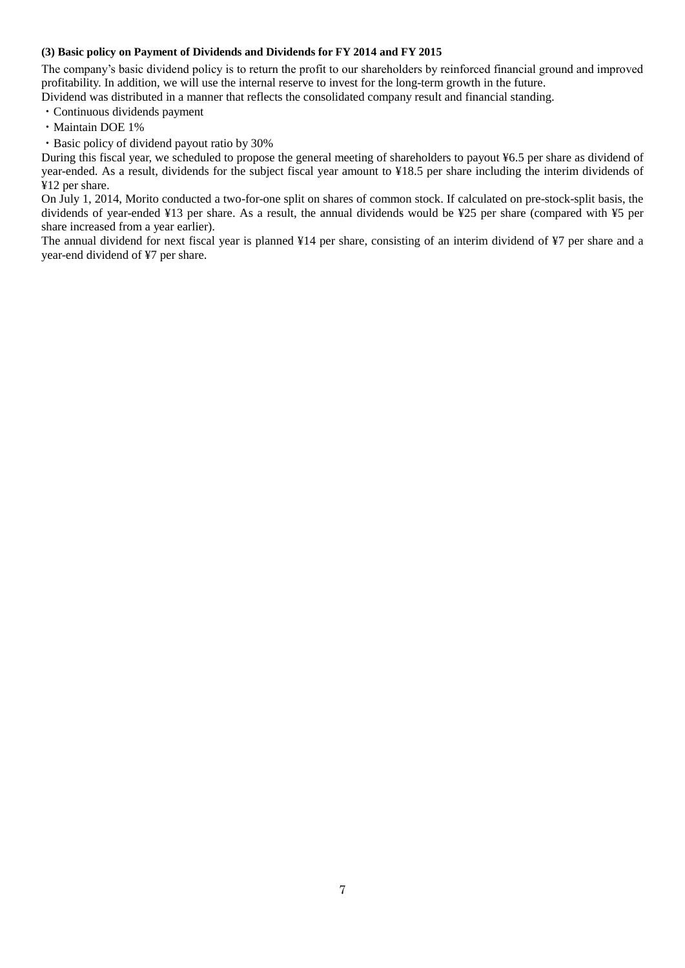#### <span id="page-6-0"></span>**(3) Basic policy on Payment of Dividends and Dividends for FY 2014 and FY 2015**

The company's basic dividend policy is to return the profit to our shareholders by reinforced financial ground and improved profitability. In addition, we will use the internal reserve to invest for the long-term growth in the future. Dividend was distributed in a manner that reflects the consolidated company result and financial standing.

・Continuous dividends payment

- ・Maintain DOE 1%
- ・Basic policy of dividend payout ratio by 30%

During this fiscal year, we scheduled to propose the general meeting of shareholders to payout ¥6.5 per share as dividend of year-ended. As a result, dividends for the subject fiscal year amount to ¥18.5 per share including the interim dividends of ¥12 per share.

On July 1, 2014, Morito conducted a two-for-one split on shares of common stock. If calculated on pre-stock-split basis, the dividends of year-ended ¥13 per share. As a result, the annual dividends would be ¥25 per share (compared with ¥5 per share increased from a year earlier).

The annual dividend for next fiscal year is planned ¥14 per share, consisting of an interim dividend of ¥7 per share and a year-end dividend of ¥7 per share.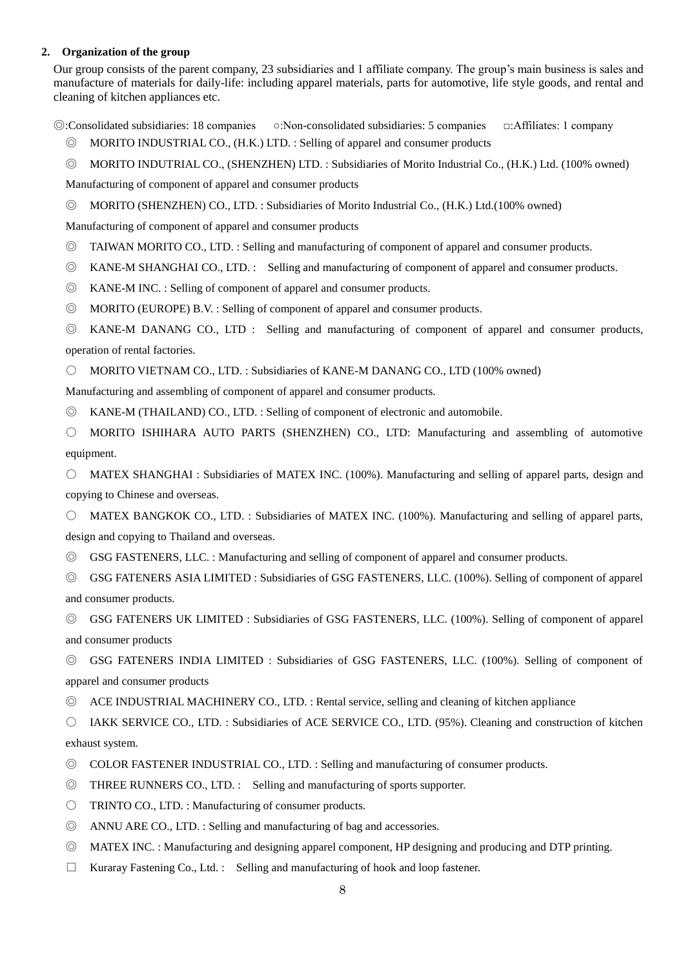#### <span id="page-7-0"></span>**2. Organization of the group**

Our group consists of the parent company, 23 subsidiaries and 1 affiliate company. The group's main business is sales and manufacture of materials for daily-life: including apparel materials, parts for automotive, life style goods, and rental and cleaning of kitchen appliances etc.

◎:Consolidated subsidiaries: 18 companies ○:Non-consolidated subsidiaries: 5 companies □:Affiliates: 1 company

- ◎ MORITO INDUSTRIAL CO., (H.K.) LTD. : Selling of apparel and consumer products
- © MORITO INDUTRIAL CO., (SHENZHEN) LTD. : Subsidiaries of Morito Industrial Co., (H.K.) Ltd. (100% owned)

Manufacturing of component of apparel and consumer products

◎ MORITO (SHENZHEN) CO., LTD. : Subsidiaries of Morito Industrial Co., (H.K.) Ltd.(100% owned)

Manufacturing of component of apparel and consumer products

- ◎ TAIWAN MORITO CO., LTD. : Selling and manufacturing of component of apparel and consumer products.
- ◎ KANE-M SHANGHAI CO., LTD. : Selling and manufacturing of component of apparel and consumer products.
- ◎ KANE-M INC. : Selling of component of apparel and consumer products.
- ◎ MORITO (EUROPE) B.V. : Selling of component of apparel and consumer products.

◎ KANE-M DANANG CO., LTD : Selling and manufacturing of component of apparel and consumer products, operation of rental factories.

○ MORITO VIETNAM CO., LTD. : Subsidiaries of KANE-M DANANG CO., LTD (100% owned)

Manufacturing and assembling of component of apparel and consumer products.

◎ KANE-M (THAILAND) CO., LTD. : Selling of component of electronic and automobile.

○ MORITO ISHIHARA AUTO PARTS (SHENZHEN) CO., LTD: Manufacturing and assembling of automotive equipment.

○ MATEX SHANGHAI : Subsidiaries of MATEX INC. (100%). Manufacturing and selling of apparel parts, design and copying to Chinese and overseas.

○ MATEX BANGKOK CO., LTD. : Subsidiaries of MATEX INC. (100%). Manufacturing and selling of apparel parts, design and copying to Thailand and overseas.

- ◎ GSG FASTENERS, LLC. : Manufacturing and selling of component of apparel and consumer products.
- ◎ GSG FATENERS ASIA LIMITED : Subsidiaries of GSG FASTENERS, LLC. (100%). Selling of component of apparel and consumer products.

◎ GSG FATENERS UK LIMITED : Subsidiaries of GSG FASTENERS, LLC. (100%). Selling of component of apparel and consumer products

◎ GSG FATENERS INDIA LIMITED : Subsidiaries of GSG FASTENERS, LLC. (100%). Selling of component of apparel and consumer products

◎ ACE INDUSTRIAL MACHINERY CO., LTD. : Rental service, selling and cleaning of kitchen appliance

○ IAKK SERVICE CO., LTD. : Subsidiaries of ACE SERVICE CO., LTD. (95%). Cleaning and construction of kitchen exhaust system.

- ◎ COLOR FASTENER INDUSTRIAL CO., LTD. : Selling and manufacturing of consumer products.
- ◎ THREE RUNNERS CO., LTD. : Selling and manufacturing of sports supporter.
- TRINTO CO., LTD. : Manufacturing of consumer products.
- ◎ ANNU ARE CO., LTD. : Selling and manufacturing of bag and accessories.
- ◎ MATEX INC. : Manufacturing and designing apparel component, HP designing and producing and DTP printing.
- $\Box$  Kuraray Fastening Co., Ltd. : Selling and manufacturing of hook and loop fastener.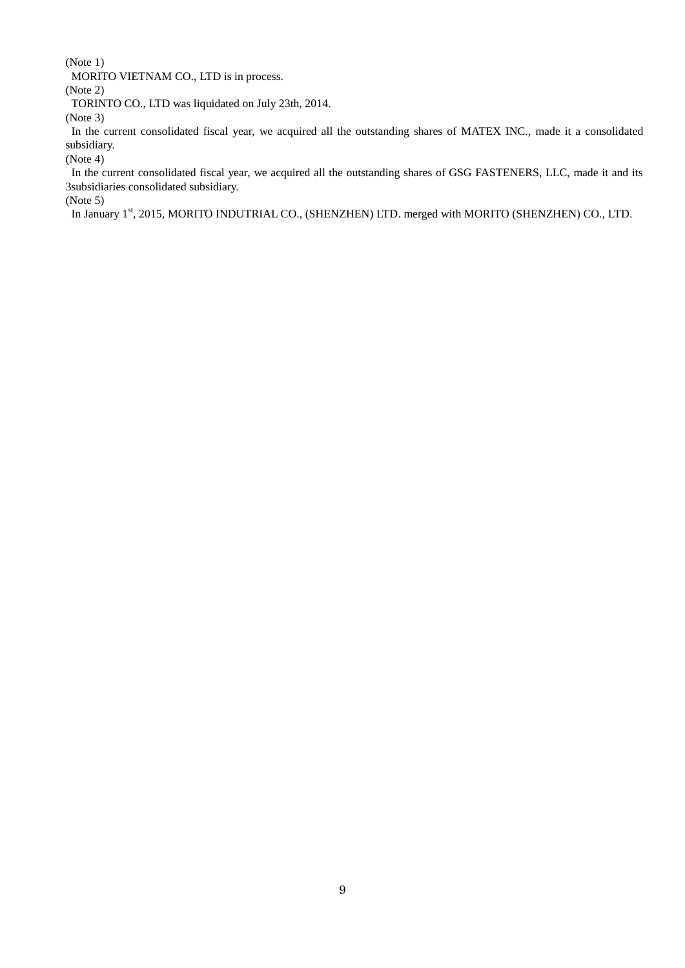(Note 1)

MORITO VIETNAM CO., LTD is in process.

(Note 2)

TORINTO CO., LTD was liquidated on July 23th, 2014.

(Note 3)

In the current consolidated fiscal year, we acquired all the outstanding shares of MATEX INC., made it a consolidated subsidiary.

(Note 4)

In the current consolidated fiscal year, we acquired all the outstanding shares of GSG FASTENERS, LLC, made it and its 3subsidiaries consolidated subsidiary.

(Note 5)

In January 1st, 2015, MORITO INDUTRIAL CO., (SHENZHEN) LTD. merged with MORITO (SHENZHEN) CO., LTD.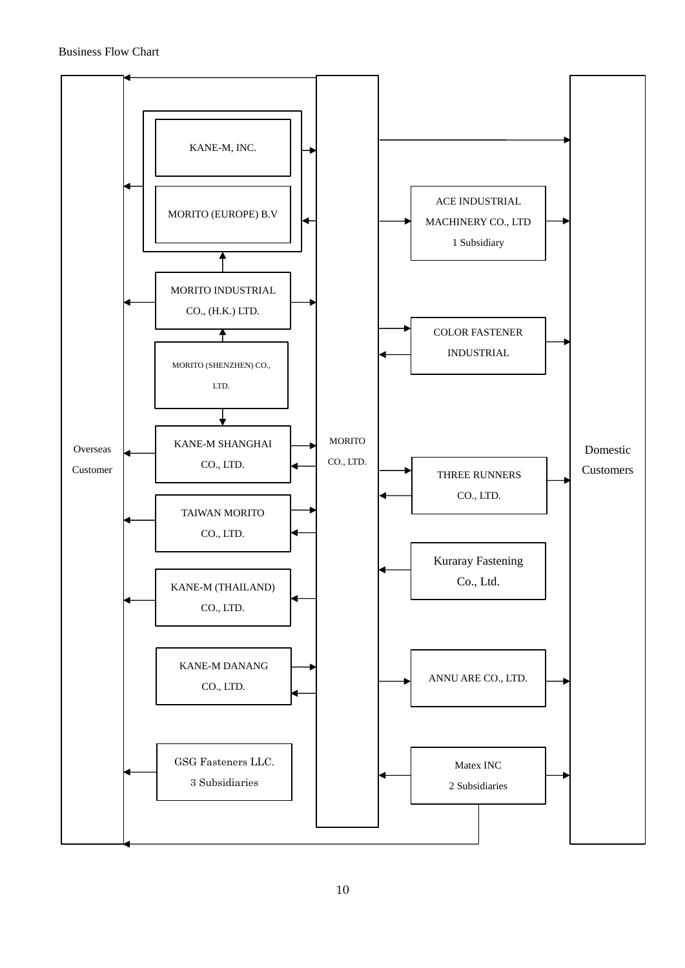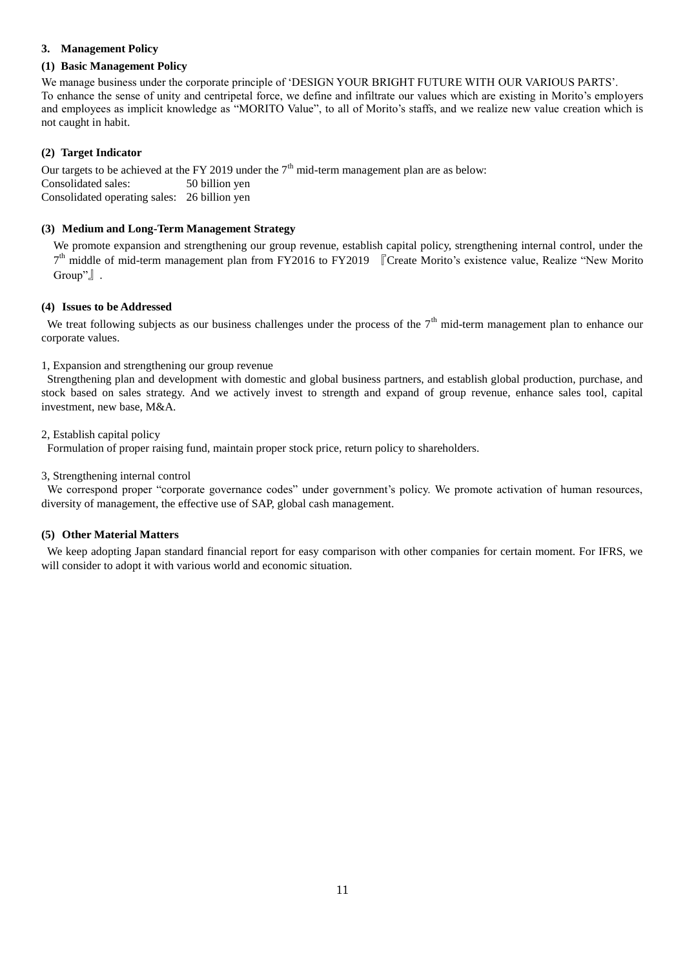### <span id="page-10-0"></span>**3. Management Policy**

### <span id="page-10-1"></span>**(1) Basic Management Policy**

We manage business under the corporate principle of 'DESIGN YOUR BRIGHT FUTURE WITH OUR VARIOUS PARTS'. To enhance the sense of unity and centripetal force, we define and infiltrate our values which are existing in Morito's employers and employees as implicit knowledge as "MORITO Value", to all of Morito's staffs, and we realize new value creation which is not caught in habit.

### <span id="page-10-2"></span>**(2) Target Indicator**

Our targets to be achieved at the FY 2019 under the  $7<sup>th</sup>$  mid-term management plan are as below: Consolidated sales: 50 billion yen Consolidated operating sales: 26 billion yen

### <span id="page-10-3"></span>**(3) Medium and Long-Term Management Strategy**

We promote expansion and strengthening our group revenue, establish capital policy, strengthening internal control, under the 7<sup>th</sup> middle of mid-term management plan from FY2016 to FY2019 [Create Morito's existence value, Realize "New Morito" Group"』.

#### <span id="page-10-4"></span>**(4) Issues to be Addressed**

We treat following subjects as our business challenges under the process of the  $7<sup>th</sup>$  mid-term management plan to enhance our corporate values.

#### 1, Expansion and strengthening our group revenue

Strengthening plan and development with domestic and global business partners, and establish global production, purchase, and stock based on sales strategy. And we actively invest to strength and expand of group revenue, enhance sales tool, capital investment, new base, M&A.

#### 2, Establish capital policy

Formulation of proper raising fund, maintain proper stock price, return policy to shareholders.

#### 3, Strengthening internal control

We correspond proper "corporate governance codes" under government's policy. We promote activation of human resources, diversity of management, the effective use of SAP, global cash management.

#### <span id="page-10-5"></span>**(5) Other Material Matters**

We keep adopting Japan standard financial report for easy comparison with other companies for certain moment. For IFRS, we will consider to adopt it with various world and economic situation.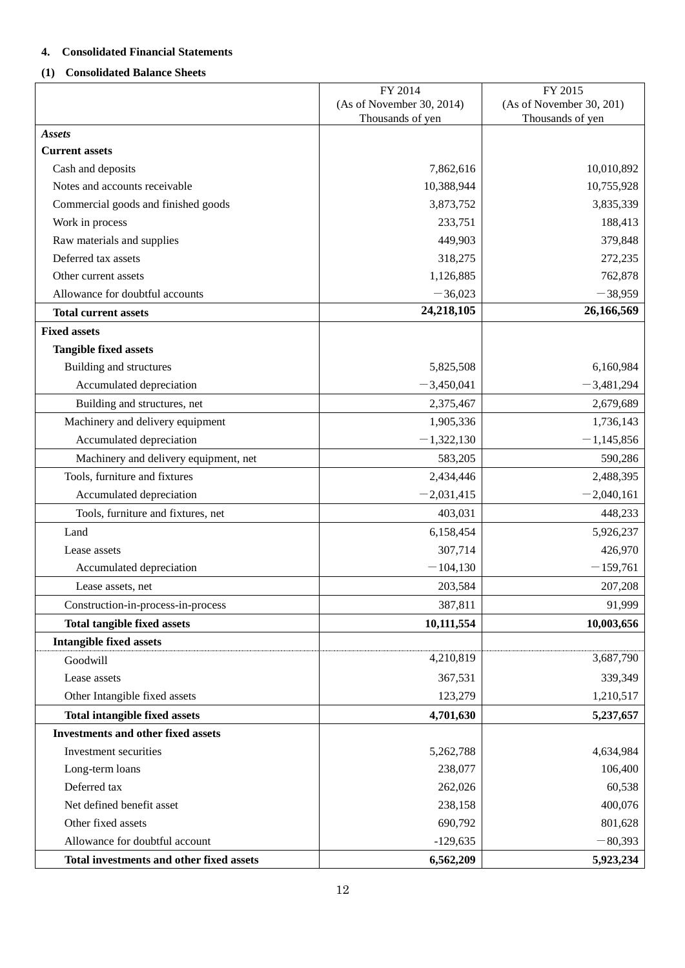# <span id="page-11-0"></span>**4. Consolidated Financial Statements**

# <span id="page-11-1"></span>**(1) Consolidated Balance Sheets**

|                                                   | FY 2014                   | FY 2015                  |
|---------------------------------------------------|---------------------------|--------------------------|
|                                                   | (As of November 30, 2014) | (As of November 30, 201) |
|                                                   | Thousands of yen          | Thousands of yen         |
| <b>Assets</b><br><b>Current assets</b>            |                           |                          |
| Cash and deposits                                 | 7,862,616                 | 10,010,892               |
| Notes and accounts receivable                     | 10,388,944                | 10,755,928               |
| Commercial goods and finished goods               | 3,873,752                 | 3,835,339                |
|                                                   | 233,751                   | 188,413                  |
| Work in process                                   | 449,903                   | 379,848                  |
| Raw materials and supplies<br>Deferred tax assets |                           |                          |
|                                                   | 318,275                   | 272,235                  |
| Other current assets                              | 1,126,885                 | 762,878                  |
| Allowance for doubtful accounts                   | $-36,023$<br>24,218,105   | $-38,959$<br>26,166,569  |
| <b>Total current assets</b>                       |                           |                          |
| <b>Fixed assets</b>                               |                           |                          |
| <b>Tangible fixed assets</b>                      |                           |                          |
| Building and structures                           | 5,825,508                 | 6,160,984                |
| Accumulated depreciation                          | $-3,450,041$              | $-3,481,294$             |
| Building and structures, net                      | 2,375,467                 | 2,679,689                |
| Machinery and delivery equipment                  | 1,905,336                 | 1,736,143                |
| Accumulated depreciation                          | $-1,322,130$              | $-1,145,856$             |
| Machinery and delivery equipment, net             | 583,205                   | 590,286                  |
| Tools, furniture and fixtures                     | 2,434,446                 | 2,488,395                |
| Accumulated depreciation                          | $-2,031,415$              | $-2,040,161$             |
| Tools, furniture and fixtures, net                | 403,031                   | 448,233                  |
| Land                                              | 6,158,454                 | 5,926,237                |
| Lease assets                                      | 307,714                   | 426,970                  |
| Accumulated depreciation                          | $-104,130$                | $-159,761$               |
| Lease assets, net                                 | 203,584                   | 207,208                  |
| Construction-in-process-in-process                | 387,811                   | 91,999                   |
| <b>Total tangible fixed assets</b>                | 10,111,554                | 10,003,656               |
| <b>Intangible fixed assets</b>                    |                           |                          |
| Goodwill                                          | 4,210,819                 | 3,687,790                |
| Lease assets                                      | 367,531                   | 339,349                  |
| Other Intangible fixed assets                     | 123,279                   | 1,210,517                |
| <b>Total intangible fixed assets</b>              | 4,701,630                 | 5,237,657                |
| <b>Investments and other fixed assets</b>         |                           |                          |
| Investment securities                             | 5,262,788                 | 4,634,984                |
| Long-term loans                                   | 238,077                   | 106,400                  |
| Deferred tax                                      | 262,026                   | 60,538                   |
| Net defined benefit asset                         | 238,158                   | 400,076                  |
| Other fixed assets                                | 690,792                   | 801,628                  |
| Allowance for doubtful account                    | $-129,635$                | $-80,393$                |
| Total investments and other fixed assets          | 6,562,209                 | 5,923,234                |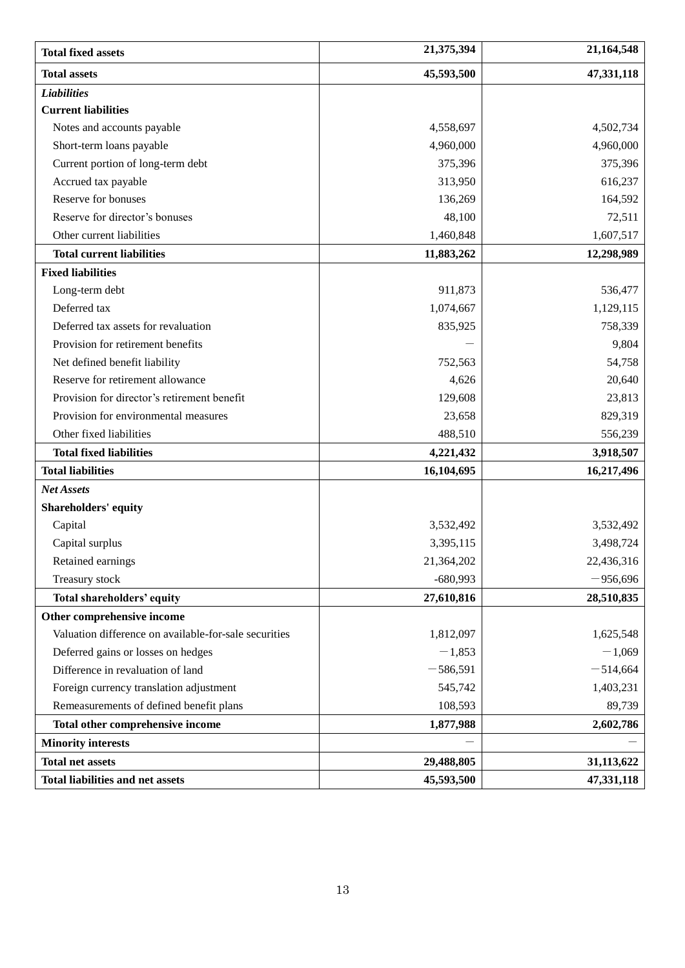| <b>Total fixed assets</b>                             | 21,375,394 | 21,164,548 |
|-------------------------------------------------------|------------|------------|
| <b>Total assets</b>                                   | 45,593,500 | 47,331,118 |
| <b>Liabilities</b>                                    |            |            |
| <b>Current liabilities</b>                            |            |            |
| Notes and accounts payable                            | 4,558,697  | 4,502,734  |
| Short-term loans payable                              | 4,960,000  | 4,960,000  |
| Current portion of long-term debt                     | 375,396    | 375,396    |
| Accrued tax payable                                   | 313,950    | 616,237    |
| Reserve for bonuses                                   | 136,269    | 164,592    |
| Reserve for director's bonuses                        | 48,100     | 72,511     |
| Other current liabilities                             | 1,460,848  | 1,607,517  |
| <b>Total current liabilities</b>                      | 11,883,262 | 12,298,989 |
| <b>Fixed liabilities</b>                              |            |            |
| Long-term debt                                        | 911,873    | 536,477    |
| Deferred tax                                          | 1,074,667  | 1,129,115  |
| Deferred tax assets for revaluation                   | 835,925    | 758,339    |
| Provision for retirement benefits                     |            | 9,804      |
| Net defined benefit liability                         | 752,563    | 54,758     |
| Reserve for retirement allowance                      | 4,626      | 20,640     |
| Provision for director's retirement benefit           | 129,608    | 23,813     |
| Provision for environmental measures                  | 23,658     | 829,319    |
| Other fixed liabilities                               | 488,510    | 556,239    |
| <b>Total fixed liabilities</b>                        | 4,221,432  | 3,918,507  |
| <b>Total liabilities</b>                              | 16,104,695 | 16,217,496 |
| Net Assets                                            |            |            |
| <b>Shareholders' equity</b>                           |            |            |
| Capital                                               | 3,532,492  | 3,532,492  |
| Capital surplus                                       | 3,395,115  | 3,498,724  |
| Retained earnings                                     | 21,364,202 | 22,436,316 |
| Treasury stock                                        | $-680,993$ | $-956,696$ |
| Total shareholders' equity                            | 27,610,816 | 28,510,835 |
| Other comprehensive income                            |            |            |
| Valuation difference on available-for-sale securities | 1,812,097  | 1,625,548  |
| Deferred gains or losses on hedges                    | $-1,853$   | $-1,069$   |
| Difference in revaluation of land                     | $-586,591$ | $-514,664$ |
| Foreign currency translation adjustment               | 545,742    | 1,403,231  |
| Remeasurements of defined benefit plans               | 108,593    | 89,739     |
| Total other comprehensive income                      | 1,877,988  | 2,602,786  |
| <b>Minority interests</b>                             |            |            |
| <b>Total net assets</b>                               | 29,488,805 | 31,113,622 |
| <b>Total liabilities and net assets</b>               | 45,593,500 | 47,331,118 |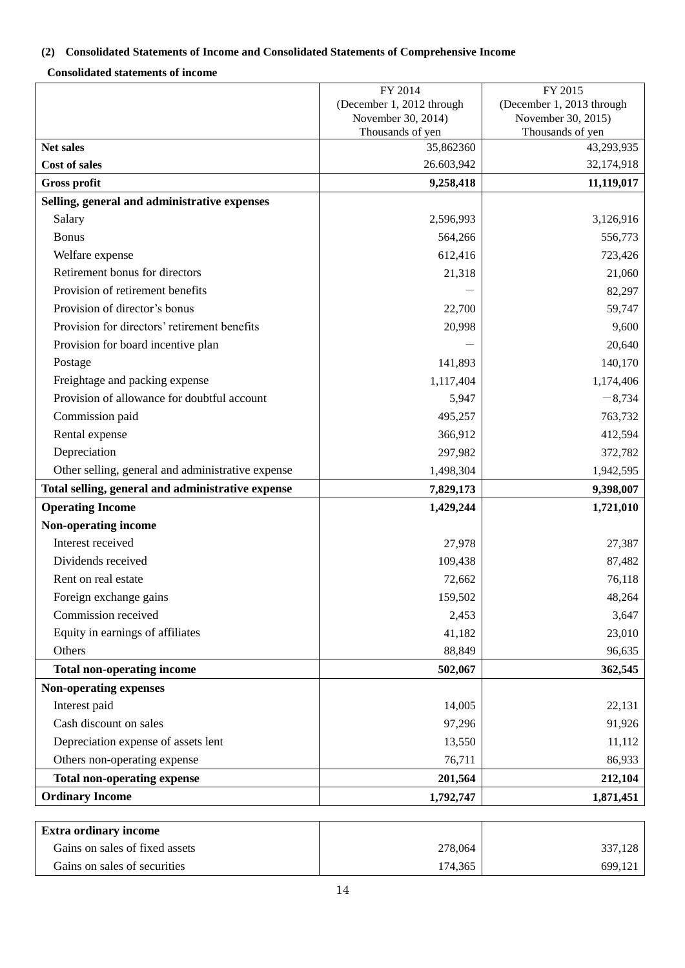# <span id="page-13-0"></span>**(2) Consolidated Statements of Income and Consolidated Statements of Comprehensive Income**

# **Consolidated statements of income**

|                                                   | FY 2014                                | FY 2015                                |
|---------------------------------------------------|----------------------------------------|----------------------------------------|
|                                                   | (December 1, 2012 through              | (December 1, 2013 through              |
|                                                   | November 30, 2014)<br>Thousands of yen | November 30, 2015)<br>Thousands of yen |
| <b>Net sales</b>                                  | 35,862360                              | 43,293,935                             |
| <b>Cost of sales</b>                              | 26.603,942                             | 32,174,918                             |
| <b>Gross profit</b>                               | 9,258,418                              | 11,119,017                             |
| Selling, general and administrative expenses      |                                        |                                        |
| Salary                                            | 2,596,993                              | 3,126,916                              |
| <b>Bonus</b>                                      | 564,266                                | 556,773                                |
| Welfare expense                                   | 612,416                                | 723,426                                |
| Retirement bonus for directors                    | 21,318                                 | 21,060                                 |
| Provision of retirement benefits                  |                                        | 82,297                                 |
| Provision of director's bonus                     | 22,700                                 | 59,747                                 |
| Provision for directors' retirement benefits      | 20,998                                 | 9,600                                  |
| Provision for board incentive plan                |                                        | 20,640                                 |
| Postage                                           | 141,893                                | 140,170                                |
| Freightage and packing expense                    | 1,117,404                              | 1,174,406                              |
| Provision of allowance for doubtful account       | 5,947                                  | $-8,734$                               |
| Commission paid                                   | 495,257                                | 763,732                                |
| Rental expense                                    | 366,912                                | 412,594                                |
| Depreciation                                      | 297,982                                | 372,782                                |
| Other selling, general and administrative expense | 1,498,304                              | 1,942,595                              |
| Total selling, general and administrative expense | 7,829,173                              | 9,398,007                              |
| <b>Operating Income</b>                           | 1,429,244                              | 1,721,010                              |
| Non-operating income                              |                                        |                                        |
| Interest received                                 | 27,978                                 | 27,387                                 |
| Dividends received                                | 109,438                                | 87,482                                 |
| Rent on real estate                               | 72,662                                 | 76,118                                 |
| Foreign exchange gains                            | 159,502                                | 48,264                                 |
| Commission received                               | 2,453                                  | 3,647                                  |
| Equity in earnings of affiliates                  | 41,182                                 | 23,010                                 |
| Others                                            | 88,849                                 | 96,635                                 |
| <b>Total non-operating income</b>                 | 502,067                                | 362,545                                |
| <b>Non-operating expenses</b>                     |                                        |                                        |
| Interest paid                                     | 14,005                                 | 22,131                                 |
| Cash discount on sales                            | 97,296                                 | 91,926                                 |
| Depreciation expense of assets lent               | 13,550                                 | 11,112                                 |
| Others non-operating expense                      | 76,711                                 | 86,933                                 |
| <b>Total non-operating expense</b>                | 201,564                                | 212,104                                |
| <b>Ordinary Income</b>                            | 1,792,747                              | 1,871,451                              |
| <b>Extra ordinary income</b>                      |                                        |                                        |
| Gains on sales of fixed assets                    | 278,064                                | 337,128                                |
| Gains on sales of securities                      | 174,365                                | 699,121                                |
|                                                   |                                        |                                        |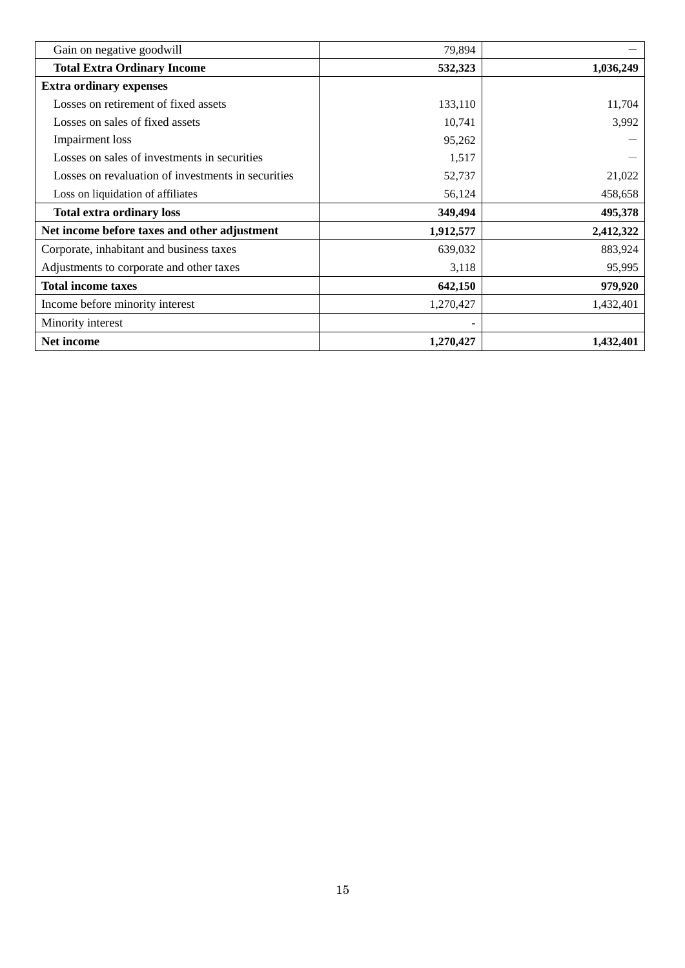| Gain on negative goodwill                          | 79,894    |           |
|----------------------------------------------------|-----------|-----------|
| <b>Total Extra Ordinary Income</b>                 | 532,323   | 1,036,249 |
| <b>Extra ordinary expenses</b>                     |           |           |
| Losses on retirement of fixed assets               | 133,110   | 11,704    |
| Losses on sales of fixed assets                    | 10,741    | 3,992     |
| Impairment loss                                    | 95,262    |           |
| Losses on sales of investments in securities       | 1,517     |           |
| Losses on revaluation of investments in securities | 52,737    | 21,022    |
| Loss on liquidation of affiliates                  | 56,124    | 458,658   |
| <b>Total extra ordinary loss</b>                   | 349,494   | 495,378   |
| Net income before taxes and other adjustment       | 1,912,577 | 2,412,322 |
| Corporate, inhabitant and business taxes           | 639,032   | 883,924   |
| Adjustments to corporate and other taxes           | 3,118     | 95,995    |
| <b>Total income taxes</b>                          | 642,150   | 979,920   |
| Income before minority interest                    | 1,270,427 | 1,432,401 |
| Minority interest                                  |           |           |
| Net income                                         | 1,270,427 | 1,432,401 |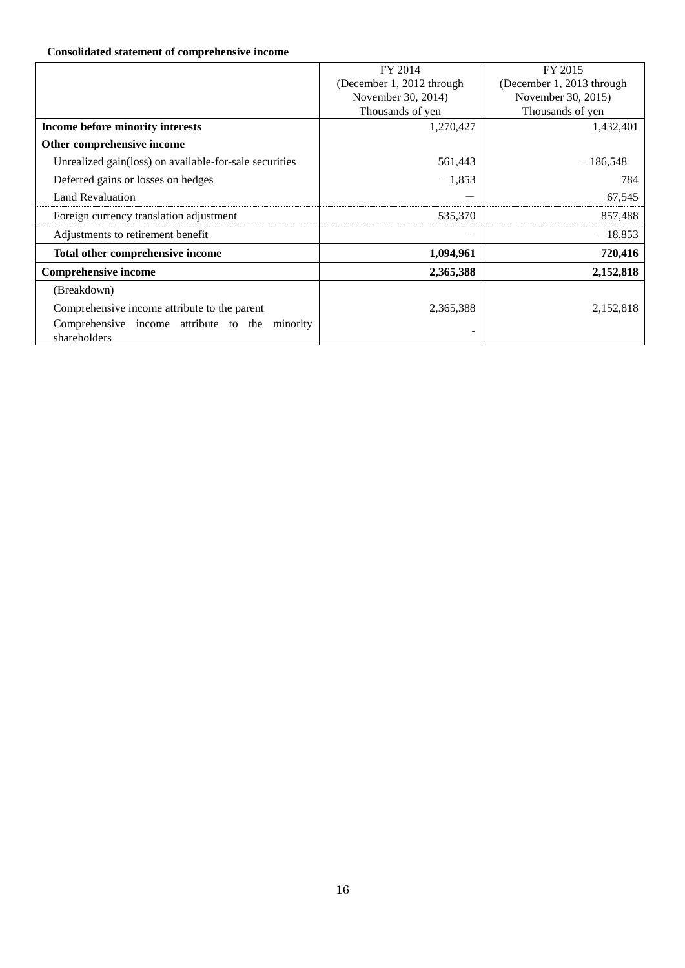# **Consolidated statement of comprehensive income**

|                                                        | FY 2014                   | FY 2015                   |
|--------------------------------------------------------|---------------------------|---------------------------|
|                                                        | (December 1, 2012 through | (December 1, 2013 through |
|                                                        | November 30, 2014)        | November 30, 2015)        |
|                                                        | Thousands of yen          | Thousands of yen          |
| Income before minority interests                       | 1,270,427                 | 1,432,401                 |
| Other comprehensive income                             |                           |                           |
| Unrealized gain(loss) on available-for-sale securities | 561,443                   | $-186,548$                |
| Deferred gains or losses on hedges                     | $-1,853$                  | 784                       |
| <b>Land Revaluation</b>                                |                           | 67,545                    |
| Foreign currency translation adjustment                | 535,370                   | 857,488                   |
| Adjustments to retirement benefit                      |                           | $-18,853$                 |
| Total other comprehensive income                       | 1,094,961                 | 720,416                   |
| <b>Comprehensive income</b>                            | 2,365,388                 | 2,152,818                 |
| (Breakdown)                                            |                           |                           |
| Comprehensive income attribute to the parent           | 2,365,388                 | 2,152,818                 |
| Comprehensive income attribute to the<br>minority      |                           |                           |
| shareholders                                           |                           |                           |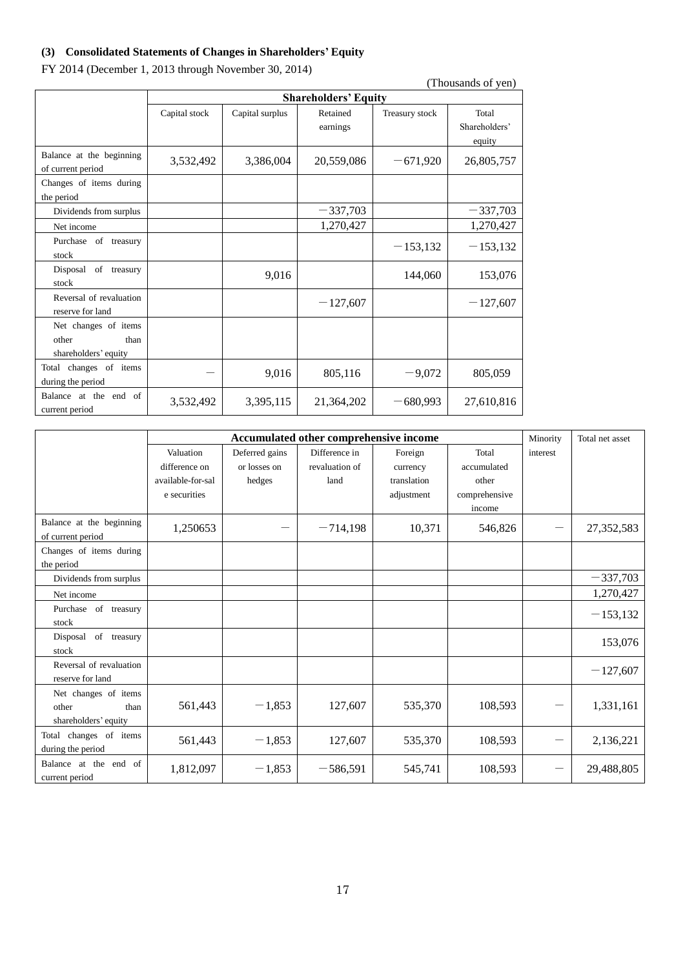# <span id="page-16-0"></span>**(3) Consolidated Statements of Changes in Shareholders' Equity**

|  |  | FY 2014 (December 1, 2013 through November 30, 2014) |  |  |
|--|--|------------------------------------------------------|--|--|
|--|--|------------------------------------------------------|--|--|

|                                                               |               |                             |                      |                | (Thousands of yen)               |  |  |
|---------------------------------------------------------------|---------------|-----------------------------|----------------------|----------------|----------------------------------|--|--|
|                                                               |               | <b>Shareholders' Equity</b> |                      |                |                                  |  |  |
|                                                               | Capital stock | Capital surplus             | Retained<br>earnings | Treasury stock | Total<br>Shareholders'<br>equity |  |  |
| Balance at the beginning<br>of current period                 | 3,532,492     | 3,386,004                   | 20,559,086           | $-671,920$     | 26,805,757                       |  |  |
| Changes of items during<br>the period                         |               |                             |                      |                |                                  |  |  |
| Dividends from surplus                                        |               |                             | $-337,703$           |                | $-337,703$                       |  |  |
| Net income                                                    |               |                             | 1,270,427            |                | 1,270,427                        |  |  |
| Purchase of treasury<br>stock                                 |               |                             |                      | $-153,132$     | $-153,132$                       |  |  |
| Disposal of treasury<br>stock                                 |               | 9,016                       |                      | 144,060        | 153,076                          |  |  |
| Reversal of revaluation<br>reserve for land                   |               |                             | $-127,607$           |                | $-127,607$                       |  |  |
| Net changes of items<br>other<br>than<br>shareholders' equity |               |                             |                      |                |                                  |  |  |
| Total changes of items<br>during the period                   |               | 9,016                       | 805,116              | $-9,072$       | 805,059                          |  |  |
| Balance at the end of<br>current period                       | 3,532,492     | 3,395,115                   | 21,364,202           | $-680,993$     | 27,610,816                       |  |  |

|                                                               | Accumulated other comprehensive income |                |                |             |               |          | Total net asset |
|---------------------------------------------------------------|----------------------------------------|----------------|----------------|-------------|---------------|----------|-----------------|
|                                                               | Valuation                              | Deferred gains | Difference in  | Foreign     | Total         | interest |                 |
|                                                               | difference on                          | or losses on   | revaluation of | currency    | accumulated   |          |                 |
|                                                               | available-for-sal                      | hedges         | land           | translation | other         |          |                 |
|                                                               | e securities                           |                |                | adjustment  | comprehensive |          |                 |
|                                                               |                                        |                |                |             | income        |          |                 |
| Balance at the beginning<br>of current period                 | 1,250653                               |                | $-714,198$     | 10,371      | 546,826       |          | 27,352,583      |
| Changes of items during                                       |                                        |                |                |             |               |          |                 |
| the period                                                    |                                        |                |                |             |               |          |                 |
| Dividends from surplus                                        |                                        |                |                |             |               |          | $-337,703$      |
| Net income                                                    |                                        |                |                |             |               |          | 1,270,427       |
| Purchase of treasury<br>stock                                 |                                        |                |                |             |               |          | $-153,132$      |
| Disposal of treasury<br>stock                                 |                                        |                |                |             |               |          | 153,076         |
| Reversal of revaluation<br>reserve for land                   |                                        |                |                |             |               |          | $-127,607$      |
| Net changes of items<br>other<br>than<br>shareholders' equity | 561,443                                | $-1,853$       | 127,607        | 535,370     | 108,593       |          | 1,331,161       |
| Total changes of items<br>during the period                   | 561,443                                | $-1,853$       | 127,607        | 535,370     | 108,593       | —        | 2,136,221       |
| Balance at the end of<br>current period                       | 1,812,097                              | $-1,853$       | $-586,591$     | 545,741     | 108,593       | —        | 29,488,805      |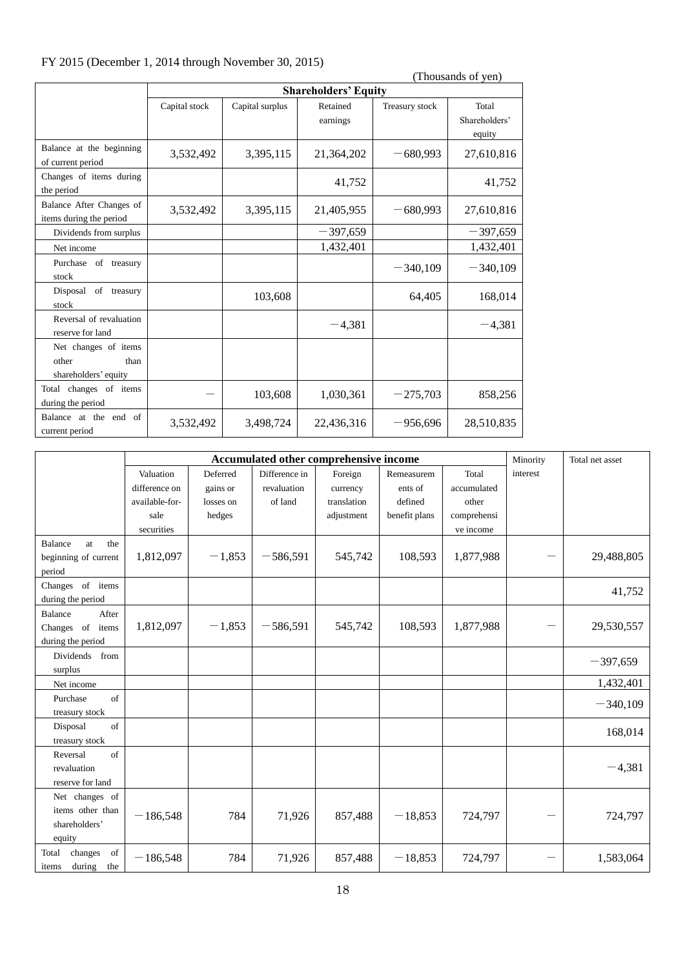# FY 2015 (December 1, 2014 through November 30, 2015)

|                                                               | (Thousands of yen) |                             |                      |                |                                  |  |  |  |
|---------------------------------------------------------------|--------------------|-----------------------------|----------------------|----------------|----------------------------------|--|--|--|
|                                                               |                    | <b>Shareholders' Equity</b> |                      |                |                                  |  |  |  |
|                                                               | Capital stock      | Capital surplus             | Retained<br>earnings | Treasury stock | Total<br>Shareholders'<br>equity |  |  |  |
| Balance at the beginning<br>of current period                 | 3,532,492          | 3,395,115                   | 21,364,202           | $-680,993$     | 27,610,816                       |  |  |  |
| Changes of items during<br>the period                         |                    |                             | 41,752               |                | 41,752                           |  |  |  |
| Balance After Changes of<br>items during the period           | 3,532,492          | 3,395,115                   | 21,405,955           | $-680,993$     | 27,610,816                       |  |  |  |
| Dividends from surplus                                        |                    |                             | $-397,659$           |                | $-397,659$                       |  |  |  |
| Net income                                                    |                    |                             | 1,432,401            |                | 1,432,401                        |  |  |  |
| Purchase of treasury<br>stock                                 |                    |                             |                      | $-340,109$     | $-340,109$                       |  |  |  |
| Disposal of treasury<br>stock                                 |                    | 103,608                     |                      | 64,405         | 168,014                          |  |  |  |
| Reversal of revaluation<br>reserve for land                   |                    |                             | $-4.381$             |                | $-4,381$                         |  |  |  |
| Net changes of items<br>other<br>than<br>shareholders' equity |                    |                             |                      |                |                                  |  |  |  |
| Total changes of items<br>during the period                   |                    | 103,608                     | 1,030,361            | $-275,703$     | 858,256                          |  |  |  |
| Balance at the end of<br>current period                       | 3,532,492          | 3,498,724                   | 22,436,316           | $-956,696$     | 28,510,835                       |  |  |  |

|                                                               |                |           | Accumulated other comprehensive income |             |               |             | Minority | Total net asset |
|---------------------------------------------------------------|----------------|-----------|----------------------------------------|-------------|---------------|-------------|----------|-----------------|
|                                                               | Valuation      | Deferred  | Difference in                          | Foreign     | Remeasurem    | Total       | interest |                 |
|                                                               | difference on  | gains or  | revaluation                            | currency    | ents of       | accumulated |          |                 |
|                                                               | available-for- | losses on | of land                                | translation | defined       | other       |          |                 |
|                                                               | sale           | hedges    |                                        | adjustment  | benefit plans | comprehensi |          |                 |
|                                                               | securities     |           |                                        |             |               | ve income   |          |                 |
| Balance<br>the<br>at<br>beginning of current<br>period        | 1,812,097      | $-1,853$  | $-586,591$                             | 545,742     | 108,593       | 1,877,988   |          | 29,488,805      |
| Changes of items<br>during the period                         |                |           |                                        |             |               |             |          | 41,752          |
| After<br>Balance<br>Changes of items<br>during the period     | 1,812,097      | $-1,853$  | $-586,591$                             | 545,742     | 108,593       | 1,877,988   |          | 29,530,557      |
| Dividends<br>from<br>surplus                                  |                |           |                                        |             |               |             |          | $-397,659$      |
| Net income                                                    |                |           |                                        |             |               |             |          | 1,432,401       |
| of<br>Purchase<br>treasury stock                              |                |           |                                        |             |               |             |          | $-340,109$      |
| of<br>Disposal<br>treasury stock                              |                |           |                                        |             |               |             |          | 168,014         |
| of<br>Reversal<br>revaluation<br>reserve for land             |                |           |                                        |             |               |             |          | $-4,381$        |
| Net changes of<br>items other than<br>shareholders'<br>equity | $-186,548$     | 784       | 71,926                                 | 857,488     | $-18,853$     | 724,797     |          | 724,797         |
| of<br>changes<br>Total<br>during<br>the<br>items              | $-186,548$     | 784       | 71,926                                 | 857,488     | $-18,853$     | 724,797     |          | 1,583,064       |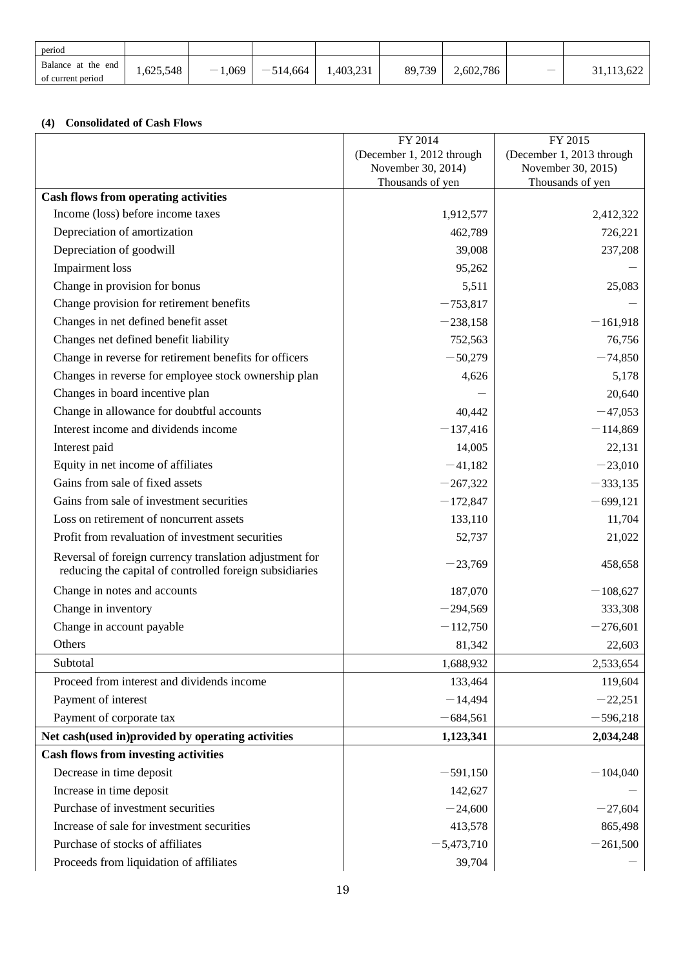| period                                  |           |                                   |            |           |        |           |              |
|-----------------------------------------|-----------|-----------------------------------|------------|-----------|--------|-----------|--------------|
| Balance at the end<br>of current period | 1,625,548 | 1,069<br>$\overline{\phantom{a}}$ | $-514,664$ | 1.403.231 | 89.739 | 2,602,786 | 31, 113, 622 |

### <span id="page-18-0"></span>**(4) Consolidated of Cash Flows**

|                                                                                                                    | FY 2014                   | FY 2015                   |
|--------------------------------------------------------------------------------------------------------------------|---------------------------|---------------------------|
|                                                                                                                    | (December 1, 2012 through | (December 1, 2013 through |
|                                                                                                                    | November 30, 2014)        | November 30, 2015)        |
| <b>Cash flows from operating activities</b>                                                                        | Thousands of yen          | Thousands of yen          |
| Income (loss) before income taxes                                                                                  | 1,912,577                 | 2,412,322                 |
| Depreciation of amortization                                                                                       | 462,789                   | 726,221                   |
| Depreciation of goodwill                                                                                           | 39,008                    |                           |
| <b>Impairment</b> loss                                                                                             |                           | 237,208                   |
| Change in provision for bonus                                                                                      | 95,262                    |                           |
|                                                                                                                    | 5,511                     | 25,083                    |
| Change provision for retirement benefits                                                                           | $-753,817$                |                           |
| Changes in net defined benefit asset                                                                               | $-238,158$                | $-161,918$                |
| Changes net defined benefit liability                                                                              | 752,563                   | 76,756                    |
| Change in reverse for retirement benefits for officers                                                             | $-50,279$                 | $-74,850$                 |
| Changes in reverse for employee stock ownership plan                                                               | 4,626                     | 5,178                     |
| Changes in board incentive plan                                                                                    |                           | 20,640                    |
| Change in allowance for doubtful accounts                                                                          | 40,442                    | $-47,053$                 |
| Interest income and dividends income                                                                               | $-137,416$                | $-114,869$                |
| Interest paid                                                                                                      | 14,005                    | 22,131                    |
| Equity in net income of affiliates                                                                                 | $-41,182$                 | $-23,010$                 |
| Gains from sale of fixed assets                                                                                    | $-267,322$                | $-333,135$                |
| Gains from sale of investment securities                                                                           | $-172,847$                | $-699,121$                |
| Loss on retirement of noncurrent assets                                                                            | 133,110                   | 11,704                    |
| Profit from revaluation of investment securities                                                                   | 52,737                    | 21,022                    |
| Reversal of foreign currency translation adjustment for<br>reducing the capital of controlled foreign subsidiaries | $-23,769$                 | 458,658                   |
| Change in notes and accounts                                                                                       | 187,070                   | $-108,627$                |
| Change in inventory                                                                                                | $-294,569$                | 333,308                   |
| Change in account payable                                                                                          | $-112,750$                | $-276,601$                |
| Others                                                                                                             | 81,342                    | 22,603                    |
| Subtotal                                                                                                           | 1,688,932                 | 2,533,654                 |
| Proceed from interest and dividends income                                                                         | 133,464                   | 119,604                   |
| Payment of interest                                                                                                | $-14,494$                 | $-22,251$                 |
| Payment of corporate tax                                                                                           | $-684,561$                | $-596,218$                |
| Net cash(used in)provided by operating activities                                                                  | 1,123,341                 | 2,034,248                 |
| <b>Cash flows from investing activities</b>                                                                        |                           |                           |
| Decrease in time deposit                                                                                           | $-591,150$                | $-104,040$                |
| Increase in time deposit                                                                                           | 142,627                   |                           |
| Purchase of investment securities                                                                                  | $-24,600$                 | $-27,604$                 |
| Increase of sale for investment securities                                                                         | 413,578                   | 865,498                   |
| Purchase of stocks of affiliates                                                                                   | $-5,473,710$              | $-261,500$                |
| Proceeds from liquidation of affiliates                                                                            | 39,704                    |                           |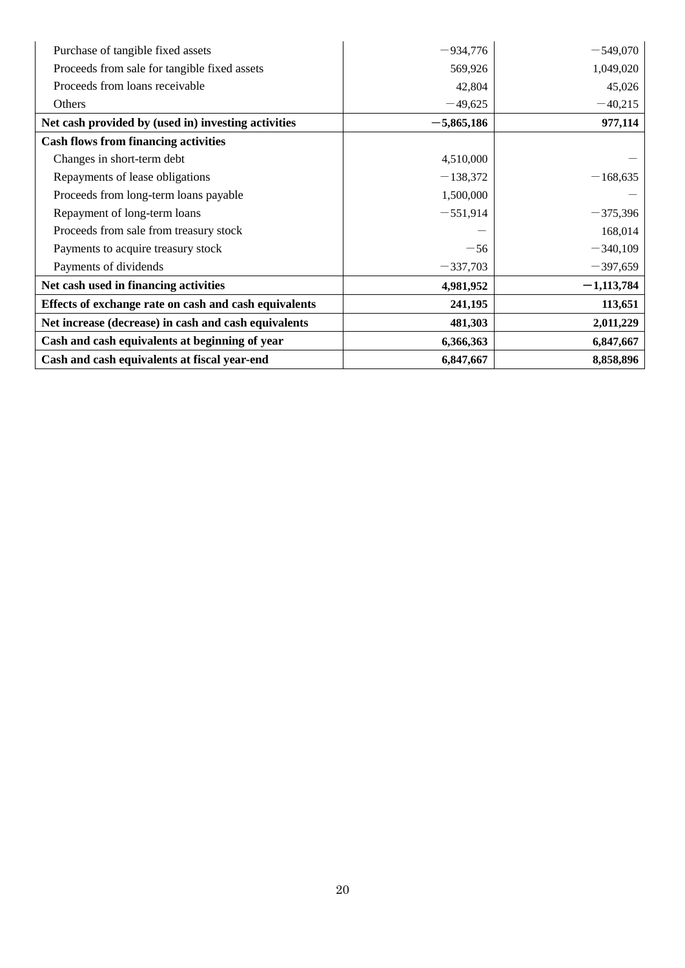| Purchase of tangible fixed assets                     | $-934,776$   | $-549,070$   |
|-------------------------------------------------------|--------------|--------------|
| Proceeds from sale for tangible fixed assets          | 569,926      | 1,049,020    |
| Proceeds from loans receivable                        | 42,804       | 45,026       |
| Others                                                | $-49,625$    | $-40,215$    |
| Net cash provided by (used in) investing activities   | $-5,865,186$ | 977,114      |
| <b>Cash flows from financing activities</b>           |              |              |
| Changes in short-term debt                            | 4,510,000    |              |
| Repayments of lease obligations                       | $-138,372$   | $-168,635$   |
| Proceeds from long-term loans payable                 | 1,500,000    |              |
| Repayment of long-term loans                          | $-551,914$   | $-375,396$   |
| Proceeds from sale from treasury stock                |              | 168,014      |
| Payments to acquire treasury stock                    | $-56$        | $-340,109$   |
| Payments of dividends                                 | $-337,703$   | $-397,659$   |
| Net cash used in financing activities                 | 4,981,952    | $-1,113,784$ |
| Effects of exchange rate on cash and cash equivalents | 241,195      | 113,651      |
| Net increase (decrease) in cash and cash equivalents  | 481,303      | 2,011,229    |
| Cash and cash equivalents at beginning of year        | 6,366,363    | 6,847,667    |
| Cash and cash equivalents at fiscal year-end          | 6,847,667    | 8,858,896    |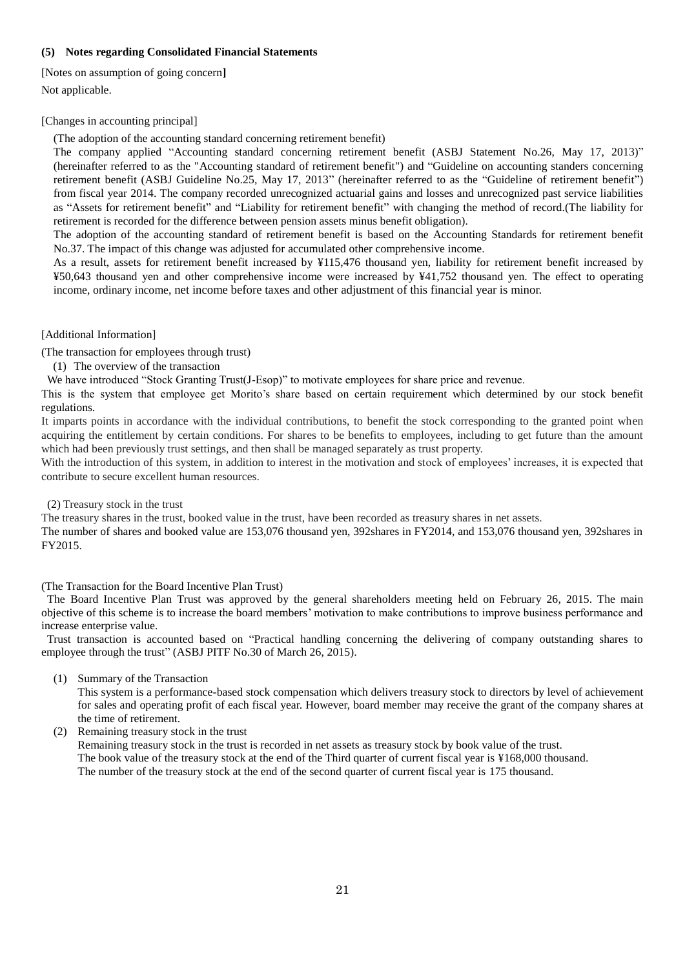### <span id="page-20-0"></span>**(5) Notes regarding Consolidated Financial Statements**

<span id="page-20-1"></span>[Notes on assumption of going concern**]** Not applicable.

#### <span id="page-20-2"></span>[Changes in accounting principal]

(The adoption of the accounting standard concerning retirement benefit)

The company applied "Accounting standard concerning retirement benefit (ASBJ Statement No.26, May 17, 2013)" (hereinafter referred to as the "Accounting standard of retirement benefit") and "Guideline on accounting standers concerning retirement benefit (ASBJ Guideline No.25, May 17, 2013" (hereinafter referred to as the "Guideline of retirement benefit") from fiscal year 2014. The company recorded unrecognized actuarial gains and losses and unrecognized past service liabilities as "Assets for retirement benefit" and "Liability for retirement benefit" with changing the method of record.(The liability for retirement is recorded for the difference between pension assets minus benefit obligation).

The adoption of the accounting standard of retirement benefit is based on the Accounting Standards for retirement benefit No.37. The impact of this change was adjusted for accumulated other comprehensive income.

As a result, assets for retirement benefit increased by ¥115,476 thousand yen, liability for retirement benefit increased by ¥50,643 thousand yen and other comprehensive income were increased by ¥41,752 thousand yen. The effect to operating income, ordinary income, net income before taxes and other adjustment of this financial year is minor.

<span id="page-20-3"></span>[Additional Information]

(The transaction for employees through trust)

(1) The overview of the transaction

We have introduced "Stock Granting Trust(J-Esop)" to motivate employees for share price and revenue.

This is the system that employee get Morito's share based on certain requirement which determined by our stock benefit regulations.

It imparts points in accordance with the individual contributions, to benefit the stock corresponding to the granted point when acquiring the entitlement by certain conditions. For shares to be benefits to employees, including to get future than the amount which had been previously trust settings, and then shall be managed separately as trust property.

With the introduction of this system, in addition to interest in the motivation and stock of employees' increases, it is expected that contribute to secure excellent human resources.

(2) Treasury stock in the trust

The treasury shares in the trust, booked value in the trust, have been recorded as treasury shares in net assets.

The number of shares and booked value are 153,076 thousand yen, 392shares in FY2014, and 153,076 thousand yen, 392shares in FY2015.

#### (The Transaction for the Board Incentive Plan Trust)

The Board Incentive Plan Trust was approved by the general shareholders meeting held on February 26, 2015. The main objective of this scheme is to increase the board members' motivation to make contributions to improve business performance and increase enterprise value.

Trust transaction is accounted based on "Practical handling concerning the delivering of company outstanding shares to employee through the trust" (ASBJ PITF No.30 of March 26, 2015).

(1) Summary of the Transaction

This system is a performance-based stock compensation which delivers treasury stock to directors by level of achievement for sales and operating profit of each fiscal year. However, board member may receive the grant of the company shares at the time of retirement.

(2) Remaining treasury stock in the trust

Remaining treasury stock in the trust is recorded in net assets as treasury stock by book value of the trust. The book value of the treasury stock at the end of the Third quarter of current fiscal year is ¥168,000 thousand. The number of the treasury stock at the end of the second quarter of current fiscal year is 175 thousand.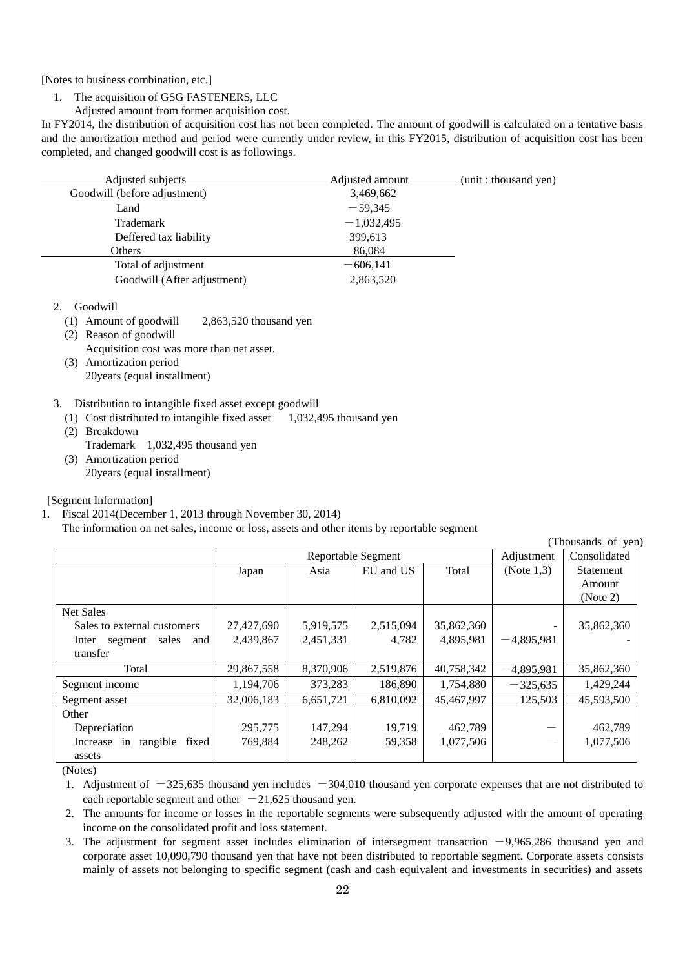<span id="page-21-0"></span>[Notes to business combination, etc.]

- 1. The acquisition of GSG FASTENERS, LLC
- Adjusted amount from former acquisition cost.

In FY2014, the distribution of acquisition cost has not been completed. The amount of goodwill is calculated on a tentative basis and the amortization method and period were currently under review, in this FY2015, distribution of acquisition cost has been completed, and changed goodwill cost is as followings.

| Adjusted subjects            | Adjusted amount | (unit : thousand yen) |
|------------------------------|-----------------|-----------------------|
| Goodwill (before adjustment) | 3,469,662       |                       |
| Land                         | $-59,345$       |                       |
| Trademark                    | $-1,032,495$    |                       |
| Deffered tax liability       | 399,613         |                       |
| Others                       | 86,084          |                       |
| Total of adjustment          | $-606,141$      |                       |
| Goodwill (After adjustment)  | 2,863,520       |                       |

2. Goodwill

- (1) Amount of goodwill 2,863,520 thousand yen
- (2) Reason of goodwill Acquisition cost was more than net asset.
- (3) Amortization period 20years (equal installment)
- 3. Distribution to intangible fixed asset except goodwill
	- (1) Cost distributed to intangible fixed asset  $1,032,495$  thousand yen
	- (2) Breakdown
	- Trademark 1,032,495 thousand yen
	- (3) Amortization period 20years (equal installment)

<span id="page-21-1"></span>[Segment Information]

1. Fiscal 2014(December 1, 2013 through November 30, 2014)

The information on net sales, income or loss, assets and other items by reportable segment

|                                  |            |                    |           |            |               | (Thousands of yen) |
|----------------------------------|------------|--------------------|-----------|------------|---------------|--------------------|
|                                  |            | Reportable Segment |           |            | Adjustment    | Consolidated       |
|                                  | Japan      | Asia               | EU and US | Total      | (Note $1,3$ ) | Statement          |
|                                  |            |                    |           |            |               | Amount             |
|                                  |            |                    |           |            |               | (Note 2)           |
| <b>Net Sales</b>                 |            |                    |           |            |               |                    |
| Sales to external customers      | 27,427,690 | 5,919,575          | 2,515,094 | 35,862,360 |               | 35,862,360         |
| sales<br>Inter<br>segment<br>and | 2,439,867  | 2,451,331          | 4,782     | 4,895,981  | $-4.895.981$  |                    |
| transfer                         |            |                    |           |            |               |                    |
| Total                            | 29,867,558 | 8,370,906          | 2,519,876 | 40,758,342 | $-4,895,981$  | 35,862,360         |
| Segment income                   | 1,194,706  | 373,283            | 186,890   | 1,754,880  | $-325,635$    | 1,429,244          |
| Segment asset                    | 32,006,183 | 6,651,721          | 6,810,092 | 45,467,997 | 125,503       | 45,593,500         |
| Other                            |            |                    |           |            |               |                    |
| Depreciation                     | 295,775    | 147,294            | 19,719    | 462,789    |               | 462,789            |
| tangible<br>fixed<br>Increase in | 769,884    | 248,262            | 59,358    | 1,077,506  |               | 1,077,506          |
| assets                           |            |                    |           |            |               |                    |

(Notes)

1. Adjustment of  $-325,635$  thousand yen includes  $-304,010$  thousand yen corporate expenses that are not distributed to each reportable segment and other  $-21,625$  thousand yen.

2. The amounts for income or losses in the reportable segments were subsequently adjusted with the amount of operating income on the consolidated profit and loss statement.

3. The adjustment for segment asset includes elimination of intersegment transaction  $-9.965,286$  thousand yen and corporate asset 10,090,790 thousand yen that have not been distributed to reportable segment. Corporate assets consists mainly of assets not belonging to specific segment (cash and cash equivalent and investments in securities) and assets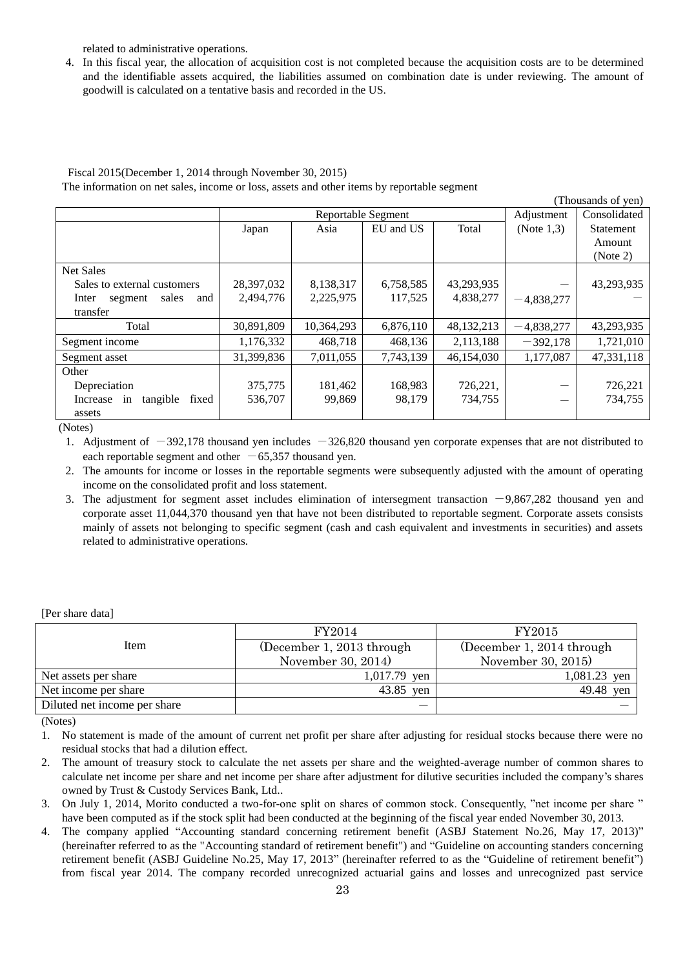related to administrative operations.

4. In this fiscal year, the allocation of acquisition cost is not completed because the acquisition costs are to be determined and the identifiable assets acquired, the liabilities assumed on combination date is under reviewing. The amount of goodwill is calculated on a tentative basis and recorded in the US.

## Fiscal 2015(December 1, 2014 through November 30, 2015)

The information on net sales, income or loss, assets and other items by reportable segment

|                                  |            |                    |           |            |               | (Thousands of yen) |
|----------------------------------|------------|--------------------|-----------|------------|---------------|--------------------|
|                                  |            | Reportable Segment |           |            | Adjustment    | Consolidated       |
|                                  | Japan      | Asia               | EU and US | Total      | (Note $1,3$ ) | Statement          |
|                                  |            |                    |           |            |               | Amount             |
|                                  |            |                    |           |            |               | (Note 2)           |
| <b>Net Sales</b>                 |            |                    |           |            |               |                    |
| Sales to external customers      | 28,397,032 | 8,138,317          | 6,758,585 | 43,293,935 |               | 43,293,935         |
| sales<br>Inter<br>and<br>segment | 2,494,776  | 2,225,975          | 117,525   | 4,838,277  | $-4,838,277$  |                    |
| transfer                         |            |                    |           |            |               |                    |
| Total                            | 30,891,809 | 10,364,293         | 6,876,110 | 48,132,213 | $-4,838,277$  | 43,293,935         |
| Segment income                   | 1,176,332  | 468,718            | 468,136   | 2,113,188  | $-392,178$    | 1,721,010          |
| Segment asset                    | 31,399,836 | 7,011,055          | 7,743,139 | 46,154,030 | 1,177,087     | 47,331,118         |
| Other                            |            |                    |           |            |               |                    |
| Depreciation                     | 375,775    | 181,462            | 168,983   | 726,221,   |               | 726,221            |
| tangible<br>fixed<br>Increase in | 536,707    | 99,869             | 98,179    | 734,755    |               | 734,755            |
| assets                           |            |                    |           |            |               |                    |

(Notes)

1. Adjustment of  $-392,178$  thousand yen includes  $-326,820$  thousand yen corporate expenses that are not distributed to each reportable segment and other  $-65,357$  thousand yen.

- 2. The amounts for income or losses in the reportable segments were subsequently adjusted with the amount of operating income on the consolidated profit and loss statement.
- 3. The adjustment for segment asset includes elimination of intersegment transaction  $-9,867,282$  thousand yen and corporate asset 11,044,370 thousand yen that have not been distributed to reportable segment. Corporate assets consists mainly of assets not belonging to specific segment (cash and cash equivalent and investments in securities) and assets related to administrative operations.

<span id="page-22-0"></span>[Per share data]

|                              | FY2014                    | FY2015                    |
|------------------------------|---------------------------|---------------------------|
| Item                         | (December 1, 2013 through | (December 1, 2014 through |
|                              | November 30, 2014)        | November 30, 2015)        |
| Net assets per share         | 1,017.79<br>ven           | 1,081.23 yen              |
| Net income per share         | 43.85<br>ven              | 49.48 yen                 |
| Diluted net income per share |                           |                           |

(Notes)

1. No statement is made of the amount of current net profit per share after adjusting for residual stocks because there were no residual stocks that had a dilution effect.

- 2. The amount of treasury stock to calculate the net assets per share and the weighted-average number of common shares to calculate net income per share and net income per share after adjustment for dilutive securities included the company's shares owned by Trust & Custody Services Bank, Ltd..
- 3. On July 1, 2014, Morito conducted a two-for-one split on shares of common stock. Consequently, "net income per share " have been computed as if the stock split had been conducted at the beginning of the fiscal year ended November 30, 2013.
- The company applied "Accounting standard concerning retirement benefit (ASBJ Statement No.26, May 17, 2013)" (hereinafter referred to as the "Accounting standard of retirement benefit") and "Guideline on accounting standers concerning retirement benefit (ASBJ Guideline No.25, May 17, 2013" (hereinafter referred to as the "Guideline of retirement benefit") from fiscal year 2014. The company recorded unrecognized actuarial gains and losses and unrecognized past service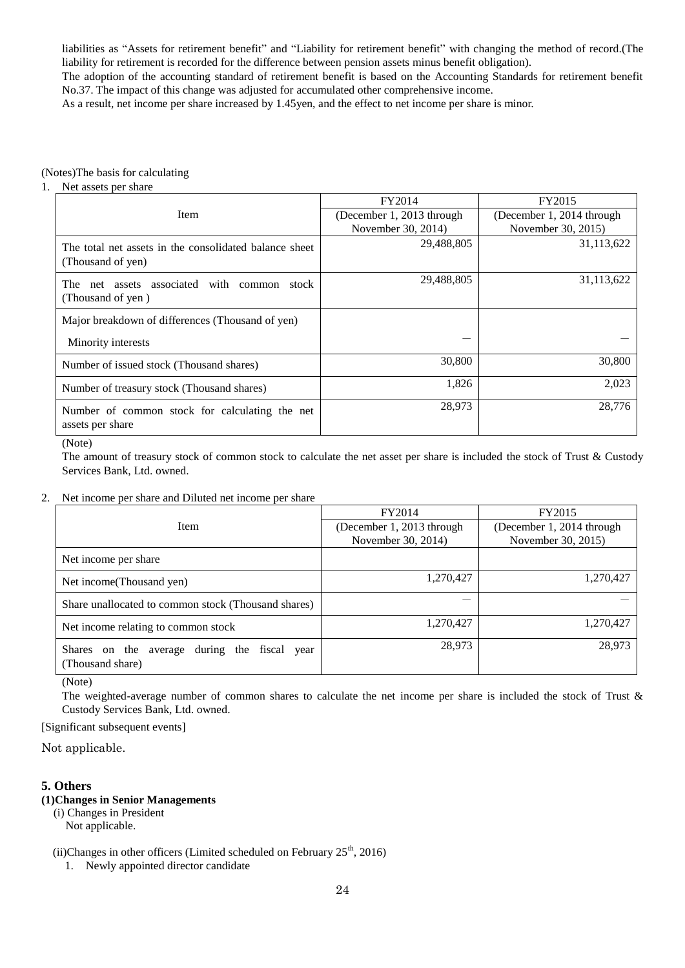liabilities as "Assets for retirement benefit" and "Liability for retirement benefit" with changing the method of record.(The liability for retirement is recorded for the difference between pension assets minus benefit obligation).

The adoption of the accounting standard of retirement benefit is based on the Accounting Standards for retirement benefit No.37. The impact of this change was adjusted for accumulated other comprehensive income.

As a result, net income per share increased by 1.45yen, and the effect to net income per share is minor.

#### (Notes)The basis for calculating

#### 1. Net assets per share

|                                                                             | FY2014                    | FY2015                    |
|-----------------------------------------------------------------------------|---------------------------|---------------------------|
| Item                                                                        | (December 1, 2013 through | (December 1, 2014 through |
|                                                                             | November 30, 2014)        | November 30, 2015)        |
| The total net assets in the consolidated balance sheet<br>(Thousand of yen) | 29,488,805                | 31,113,622                |
| associated with common stock<br>The<br>net assets<br>(Thousand of yen)      | 29,488,805                | 31,113,622                |
| Major breakdown of differences (Thousand of yen)                            |                           |                           |
| Minority interests                                                          |                           |                           |
| Number of issued stock (Thousand shares)                                    | 30,800                    | 30,800                    |
| Number of treasury stock (Thousand shares)                                  | 1,826                     | 2,023                     |
| Number of common stock for calculating the net<br>assets per share          | 28,973                    | 28,776                    |

(Note)

The amount of treasury stock of common stock to calculate the net asset per share is included the stock of Trust & Custody Services Bank, Ltd. owned.

#### 2. Net income per share and Diluted net income per share

|                                                                        | FY2014                    | FY2015                    |  |
|------------------------------------------------------------------------|---------------------------|---------------------------|--|
| <b>Item</b>                                                            | (December 1, 2013 through | (December 1, 2014 through |  |
|                                                                        | November 30, 2014)        | November 30, 2015)        |  |
| Net income per share                                                   |                           |                           |  |
| Net income (Thousand yen)                                              | 1,270,427                 | 1,270,427                 |  |
| Share unallocated to common stock (Thousand shares)                    |                           |                           |  |
| Net income relating to common stock                                    | 1,270,427                 | 1,270,427                 |  |
| Shares on the average<br>during the fiscal<br>year<br>(Thousand share) | 28,973                    | 28,973                    |  |

(Note)

The weighted-average number of common shares to calculate the net income per share is included the stock of Trust & Custody Services Bank, Ltd. owned.

<span id="page-23-0"></span>[Significant subsequent events]

Not applicable.

#### <span id="page-23-1"></span>**5. Others**

### <span id="page-23-2"></span>**(1)Changes in Senior Managements**

(i) Changes in President Not applicable.

(ii)Changes in other officers (Limited scheduled on February  $25<sup>th</sup>$ , 2016)

1. Newly appointed director candidate